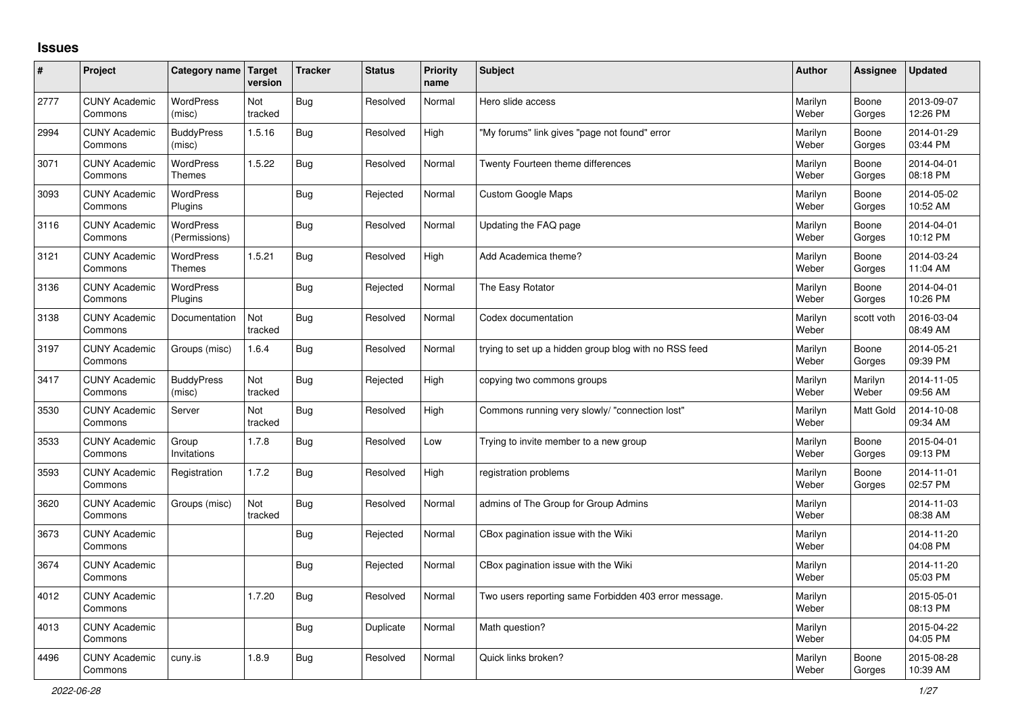## **Issues**

| #    | Project                         | Category name Target              | version        | <b>Tracker</b> | <b>Status</b> | <b>Priority</b><br>name | <b>Subject</b>                                        | <b>Author</b>    | Assignee         | <b>Updated</b>         |
|------|---------------------------------|-----------------------------------|----------------|----------------|---------------|-------------------------|-------------------------------------------------------|------------------|------------------|------------------------|
| 2777 | <b>CUNY Academic</b><br>Commons | <b>WordPress</b><br>(misc)        | Not<br>tracked | Bug            | Resolved      | Normal                  | Hero slide access                                     | Marilyn<br>Weber | Boone<br>Gorges  | 2013-09-07<br>12:26 PM |
| 2994 | <b>CUNY Academic</b><br>Commons | <b>BuddyPress</b><br>(misc)       | 1.5.16         | Bug            | Resolved      | High                    | 'My forums" link gives "page not found" error         | Marilyn<br>Weber | Boone<br>Gorges  | 2014-01-29<br>03:44 PM |
| 3071 | <b>CUNY Academic</b><br>Commons | <b>WordPress</b><br><b>Themes</b> | 1.5.22         | <b>Bug</b>     | Resolved      | Normal                  | Twenty Fourteen theme differences                     | Marilyn<br>Weber | Boone<br>Gorges  | 2014-04-01<br>08:18 PM |
| 3093 | <b>CUNY Academic</b><br>Commons | <b>WordPress</b><br>Plugins       |                | Bug            | Rejected      | Normal                  | <b>Custom Google Maps</b>                             | Marilyn<br>Weber | Boone<br>Gorges  | 2014-05-02<br>10:52 AM |
| 3116 | <b>CUNY Academic</b><br>Commons | <b>WordPress</b><br>(Permissions) |                | <b>Bug</b>     | Resolved      | Normal                  | Updating the FAQ page                                 | Marilyn<br>Weber | Boone<br>Gorges  | 2014-04-01<br>10:12 PM |
| 3121 | <b>CUNY Academic</b><br>Commons | WordPress<br><b>Themes</b>        | 1.5.21         | Bug            | Resolved      | High                    | Add Academica theme?                                  | Marilyn<br>Weber | Boone<br>Gorges  | 2014-03-24<br>11:04 AM |
| 3136 | <b>CUNY Academic</b><br>Commons | <b>WordPress</b><br>Plugins       |                | Bug            | Rejected      | Normal                  | The Easy Rotator                                      | Marilyn<br>Weber | Boone<br>Gorges  | 2014-04-01<br>10:26 PM |
| 3138 | <b>CUNY Academic</b><br>Commons | Documentation                     | Not<br>tracked | <b>Bug</b>     | Resolved      | Normal                  | Codex documentation                                   | Marilyn<br>Weber | scott voth       | 2016-03-04<br>08:49 AM |
| 3197 | <b>CUNY Academic</b><br>Commons | Groups (misc)                     | 1.6.4          | Bug            | Resolved      | Normal                  | trying to set up a hidden group blog with no RSS feed | Marilyn<br>Weber | Boone<br>Gorges  | 2014-05-21<br>09:39 PM |
| 3417 | <b>CUNY Academic</b><br>Commons | <b>BuddyPress</b><br>(misc)       | Not<br>tracked | Bug            | Rejected      | High                    | copying two commons groups                            | Marilyn<br>Weber | Marilyn<br>Weber | 2014-11-05<br>09:56 AM |
| 3530 | <b>CUNY Academic</b><br>Commons | Server                            | Not<br>tracked | Bug            | Resolved      | High                    | Commons running very slowly/ "connection lost"        | Marilyn<br>Weber | <b>Matt Gold</b> | 2014-10-08<br>09:34 AM |
| 3533 | <b>CUNY Academic</b><br>Commons | Group<br>Invitations              | 1.7.8          | Bug            | Resolved      | Low                     | Trying to invite member to a new group                | Marilyn<br>Weber | Boone<br>Gorges  | 2015-04-01<br>09:13 PM |
| 3593 | <b>CUNY Academic</b><br>Commons | Registration                      | 1.7.2          | <b>Bug</b>     | Resolved      | High                    | registration problems                                 | Marilyn<br>Weber | Boone<br>Gorges  | 2014-11-01<br>02:57 PM |
| 3620 | <b>CUNY Academic</b><br>Commons | Groups (misc)                     | Not<br>tracked | Bug            | Resolved      | Normal                  | admins of The Group for Group Admins                  | Marilyn<br>Weber |                  | 2014-11-03<br>08:38 AM |
| 3673 | <b>CUNY Academic</b><br>Commons |                                   |                | Bug            | Rejected      | Normal                  | CBox pagination issue with the Wiki                   | Marilyn<br>Weber |                  | 2014-11-20<br>04:08 PM |
| 3674 | <b>CUNY Academic</b><br>Commons |                                   |                | Bug            | Rejected      | Normal                  | CBox pagination issue with the Wiki                   | Marilyn<br>Weber |                  | 2014-11-20<br>05:03 PM |
| 4012 | <b>CUNY Academic</b><br>Commons |                                   | 1.7.20         | Bug            | Resolved      | Normal                  | Two users reporting same Forbidden 403 error message. | Marilyn<br>Weber |                  | 2015-05-01<br>08:13 PM |
| 4013 | <b>CUNY Academic</b><br>Commons |                                   |                | <b>Bug</b>     | Duplicate     | Normal                  | Math question?                                        | Marilyn<br>Weber |                  | 2015-04-22<br>04:05 PM |
| 4496 | <b>CUNY Academic</b><br>Commons | cuny.is                           | 1.8.9          | Bug            | Resolved      | Normal                  | Quick links broken?                                   | Marilyn<br>Weber | Boone<br>Gorges  | 2015-08-28<br>10:39 AM |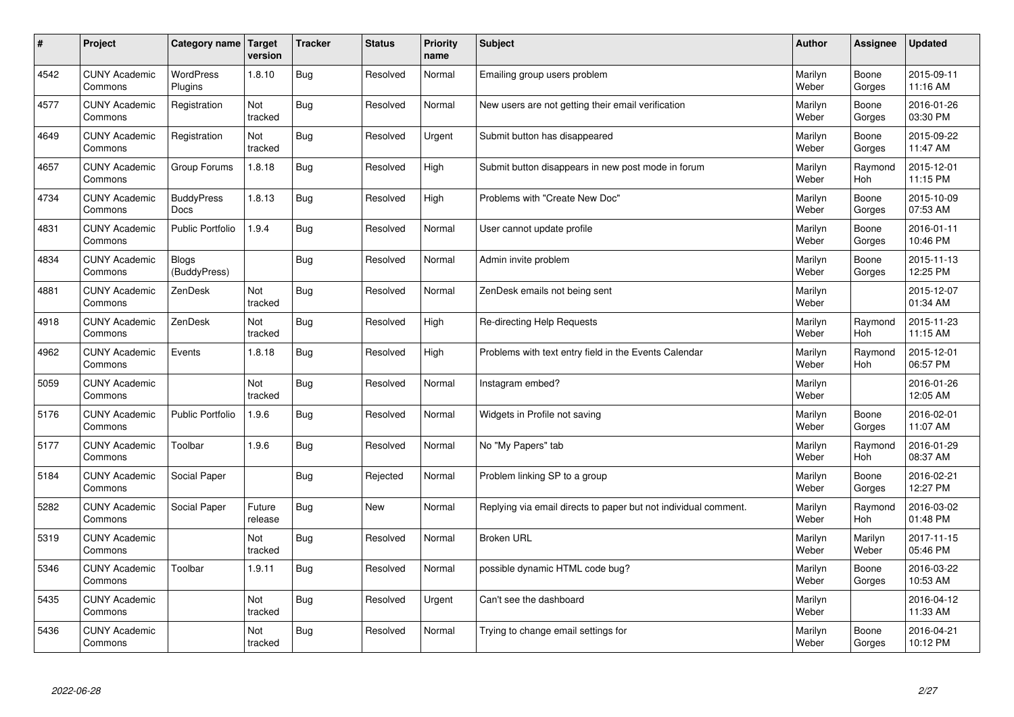| $\sharp$ | Project                         | Category name                | <b>Target</b><br>version | <b>Tracker</b> | <b>Status</b> | <b>Priority</b><br>name | <b>Subject</b>                                                  | <b>Author</b>    | Assignee              | <b>Updated</b>         |
|----------|---------------------------------|------------------------------|--------------------------|----------------|---------------|-------------------------|-----------------------------------------------------------------|------------------|-----------------------|------------------------|
| 4542     | <b>CUNY Academic</b><br>Commons | <b>WordPress</b><br>Plugins  | 1.8.10                   | <b>Bug</b>     | Resolved      | Normal                  | Emailing group users problem                                    | Marilyn<br>Weber | Boone<br>Gorges       | 2015-09-11<br>11:16 AM |
| 4577     | <b>CUNY Academic</b><br>Commons | Registration                 | Not<br>tracked           | Bug            | Resolved      | Normal                  | New users are not getting their email verification              | Marilyn<br>Weber | Boone<br>Gorges       | 2016-01-26<br>03:30 PM |
| 4649     | <b>CUNY Academic</b><br>Commons | Registration                 | Not<br>tracked           | Bug            | Resolved      | Urgent                  | Submit button has disappeared                                   | Marilyn<br>Weber | Boone<br>Gorges       | 2015-09-22<br>11:47 AM |
| 4657     | <b>CUNY Academic</b><br>Commons | Group Forums                 | 1.8.18                   | Bug            | Resolved      | High                    | Submit button disappears in new post mode in forum              | Marilyn<br>Weber | Raymond<br><b>Hoh</b> | 2015-12-01<br>11:15 PM |
| 4734     | <b>CUNY Academic</b><br>Commons | <b>BuddyPress</b><br>Docs    | 1.8.13                   | Bug            | Resolved      | High                    | Problems with "Create New Doc"                                  | Marilyn<br>Weber | Boone<br>Gorges       | 2015-10-09<br>07:53 AM |
| 4831     | <b>CUNY Academic</b><br>Commons | <b>Public Portfolio</b>      | 1.9.4                    | Bug            | Resolved      | Normal                  | User cannot update profile                                      | Marilyn<br>Weber | Boone<br>Gorges       | 2016-01-11<br>10:46 PM |
| 4834     | <b>CUNY Academic</b><br>Commons | <b>Blogs</b><br>(BuddyPress) |                          | <b>Bug</b>     | Resolved      | Normal                  | Admin invite problem                                            | Marilyn<br>Weber | Boone<br>Gorges       | 2015-11-13<br>12:25 PM |
| 4881     | <b>CUNY Academic</b><br>Commons | ZenDesk                      | Not<br>tracked           | <b>Bug</b>     | Resolved      | Normal                  | ZenDesk emails not being sent                                   | Marilyn<br>Weber |                       | 2015-12-07<br>01:34 AM |
| 4918     | <b>CUNY Academic</b><br>Commons | ZenDesk                      | Not<br>tracked           | Bug            | Resolved      | High                    | Re-directing Help Requests                                      | Marilyn<br>Weber | Raymond<br>Hoh        | 2015-11-23<br>11:15 AM |
| 4962     | <b>CUNY Academic</b><br>Commons | Events                       | 1.8.18                   | Bug            | Resolved      | High                    | Problems with text entry field in the Events Calendar           | Marilyn<br>Weber | Raymond<br>Hoh        | 2015-12-01<br>06:57 PM |
| 5059     | <b>CUNY Academic</b><br>Commons |                              | Not<br>tracked           | Bug            | Resolved      | Normal                  | Instagram embed?                                                | Marilyn<br>Weber |                       | 2016-01-26<br>12:05 AM |
| 5176     | <b>CUNY Academic</b><br>Commons | <b>Public Portfolio</b>      | 1.9.6                    | <b>Bug</b>     | Resolved      | Normal                  | Widgets in Profile not saving                                   | Marilyn<br>Weber | Boone<br>Gorges       | 2016-02-01<br>11:07 AM |
| 5177     | <b>CUNY Academic</b><br>Commons | Toolbar                      | 1.9.6                    | <b>Bug</b>     | Resolved      | Normal                  | No "My Papers" tab                                              | Marilyn<br>Weber | Raymond<br>Hoh        | 2016-01-29<br>08:37 AM |
| 5184     | <b>CUNY Academic</b><br>Commons | Social Paper                 |                          | Bug            | Rejected      | Normal                  | Problem linking SP to a group                                   | Marilyn<br>Weber | Boone<br>Gorges       | 2016-02-21<br>12:27 PM |
| 5282     | <b>CUNY Academic</b><br>Commons | Social Paper                 | Future<br>release        | Bug            | <b>New</b>    | Normal                  | Replying via email directs to paper but not individual comment. | Marilyn<br>Weber | Raymond<br><b>Hoh</b> | 2016-03-02<br>01:48 PM |
| 5319     | <b>CUNY Academic</b><br>Commons |                              | Not<br>tracked           | Bug            | Resolved      | Normal                  | <b>Broken URL</b>                                               | Marilyn<br>Weber | Marilyn<br>Weber      | 2017-11-15<br>05:46 PM |
| 5346     | <b>CUNY Academic</b><br>Commons | Toolbar                      | 1.9.11                   | Bug            | Resolved      | Normal                  | possible dynamic HTML code bug?                                 | Marilyn<br>Weber | Boone<br>Gorges       | 2016-03-22<br>10:53 AM |
| 5435     | <b>CUNY Academic</b><br>Commons |                              | Not<br>tracked           | <b>Bug</b>     | Resolved      | Urgent                  | Can't see the dashboard                                         | Marilyn<br>Weber |                       | 2016-04-12<br>11:33 AM |
| 5436     | <b>CUNY Academic</b><br>Commons |                              | Not<br>tracked           | Bug            | Resolved      | Normal                  | Trying to change email settings for                             | Marilyn<br>Weber | Boone<br>Gorges       | 2016-04-21<br>10:12 PM |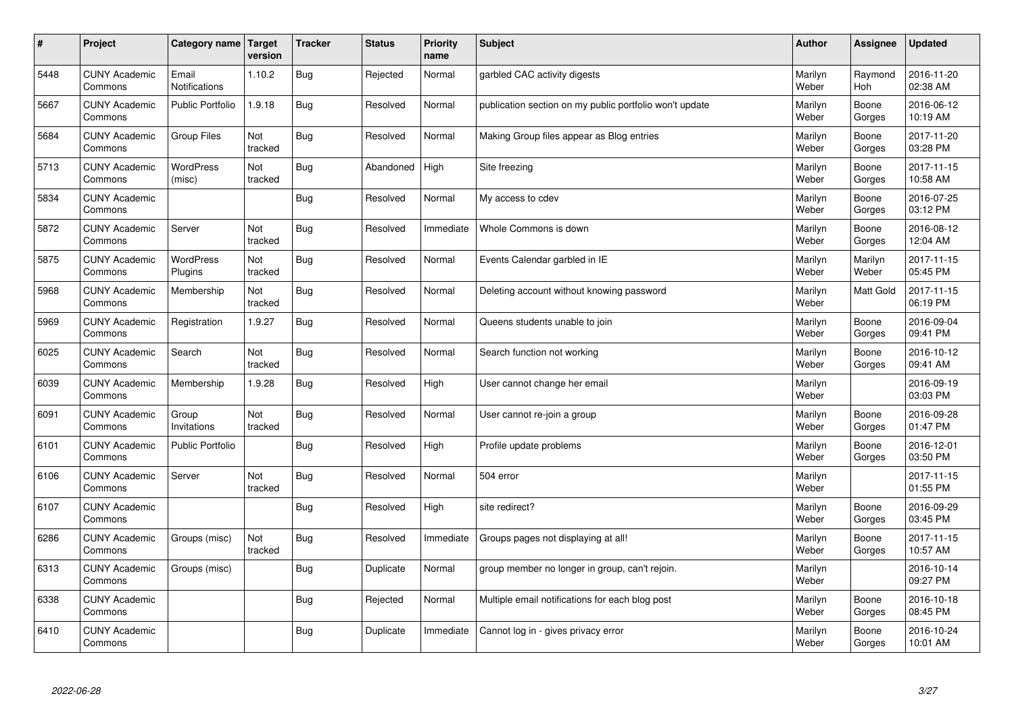| #    | Project                         | Category name   Target      | version        | <b>Tracker</b> | <b>Status</b> | Priority<br>name | <b>Subject</b>                                          | <b>Author</b>    | <b>Assignee</b>  | <b>Updated</b>         |
|------|---------------------------------|-----------------------------|----------------|----------------|---------------|------------------|---------------------------------------------------------|------------------|------------------|------------------------|
| 5448 | <b>CUNY Academic</b><br>Commons | Email<br>Notifications      | 1.10.2         | <b>Bug</b>     | Rejected      | Normal           | garbled CAC activity digests                            | Marilyn<br>Weber | Raymond<br>Hoh   | 2016-11-20<br>02:38 AM |
| 5667 | <b>CUNY Academic</b><br>Commons | <b>Public Portfolio</b>     | 1.9.18         | Bug            | Resolved      | Normal           | publication section on my public portfolio won't update | Marilyn<br>Weber | Boone<br>Gorges  | 2016-06-12<br>10:19 AM |
| 5684 | <b>CUNY Academic</b><br>Commons | <b>Group Files</b>          | Not<br>tracked | Bug            | Resolved      | Normal           | Making Group files appear as Blog entries               | Marilyn<br>Weber | Boone<br>Gorges  | 2017-11-20<br>03:28 PM |
| 5713 | <b>CUNY Academic</b><br>Commons | WordPress<br>(misc)         | Not<br>tracked | Bug            | Abandoned     | High             | Site freezing                                           | Marilyn<br>Weber | Boone<br>Gorges  | 2017-11-15<br>10:58 AM |
| 5834 | <b>CUNY Academic</b><br>Commons |                             |                | Bug            | Resolved      | Normal           | My access to cdev                                       | Marilyn<br>Weber | Boone<br>Gorges  | 2016-07-25<br>03:12 PM |
| 5872 | <b>CUNY Academic</b><br>Commons | Server                      | Not<br>tracked | Bug            | Resolved      | Immediate        | Whole Commons is down                                   | Marilyn<br>Weber | Boone<br>Gorges  | 2016-08-12<br>12:04 AM |
| 5875 | <b>CUNY Academic</b><br>Commons | <b>WordPress</b><br>Plugins | Not<br>tracked | Bug            | Resolved      | Normal           | Events Calendar garbled in IE                           | Marilyn<br>Weber | Marilyn<br>Weber | 2017-11-15<br>05:45 PM |
| 5968 | <b>CUNY Academic</b><br>Commons | Membership                  | Not<br>tracked | Bug            | Resolved      | Normal           | Deleting account without knowing password               | Marilyn<br>Weber | <b>Matt Gold</b> | 2017-11-15<br>06:19 PM |
| 5969 | <b>CUNY Academic</b><br>Commons | Registration                | 1.9.27         | Bug            | Resolved      | Normal           | Queens students unable to join                          | Marilyn<br>Weber | Boone<br>Gorges  | 2016-09-04<br>09:41 PM |
| 6025 | <b>CUNY Academic</b><br>Commons | Search                      | Not<br>tracked | Bug            | Resolved      | Normal           | Search function not working                             | Marilyn<br>Weber | Boone<br>Gorges  | 2016-10-12<br>09:41 AM |
| 6039 | <b>CUNY Academic</b><br>Commons | Membership                  | 1.9.28         | Bug            | Resolved      | High             | User cannot change her email                            | Marilyn<br>Weber |                  | 2016-09-19<br>03:03 PM |
| 6091 | <b>CUNY Academic</b><br>Commons | Group<br>Invitations        | Not<br>tracked | Bug            | Resolved      | Normal           | User cannot re-join a group                             | Marilyn<br>Weber | Boone<br>Gorges  | 2016-09-28<br>01:47 PM |
| 6101 | <b>CUNY Academic</b><br>Commons | <b>Public Portfolio</b>     |                | Bug            | Resolved      | High             | Profile update problems                                 | Marilyn<br>Weber | Boone<br>Gorges  | 2016-12-01<br>03:50 PM |
| 6106 | <b>CUNY Academic</b><br>Commons | Server                      | Not<br>tracked | Bug            | Resolved      | Normal           | 504 error                                               | Marilyn<br>Weber |                  | 2017-11-15<br>01:55 PM |
| 6107 | <b>CUNY Academic</b><br>Commons |                             |                | Bug            | Resolved      | High             | site redirect?                                          | Marilyn<br>Weber | Boone<br>Gorges  | 2016-09-29<br>03:45 PM |
| 6286 | <b>CUNY Academic</b><br>Commons | Groups (misc)               | Not<br>tracked | Bug            | Resolved      | Immediate        | Groups pages not displaying at all!                     | Marilyn<br>Weber | Boone<br>Gorges  | 2017-11-15<br>10:57 AM |
| 6313 | <b>CUNY Academic</b><br>Commons | Groups (misc)               |                | Bug            | Duplicate     | Normal           | group member no longer in group, can't rejoin.          | Marilyn<br>Weber |                  | 2016-10-14<br>09:27 PM |
| 6338 | <b>CUNY Academic</b><br>Commons |                             |                | Bug            | Rejected      | Normal           | Multiple email notifications for each blog post         | Marilyn<br>Weber | Boone<br>Gorges  | 2016-10-18<br>08:45 PM |
| 6410 | <b>CUNY Academic</b><br>Commons |                             |                | Bug            | Duplicate     | Immediate        | Cannot log in - gives privacy error                     | Marilyn<br>Weber | Boone<br>Gorges  | 2016-10-24<br>10:01 AM |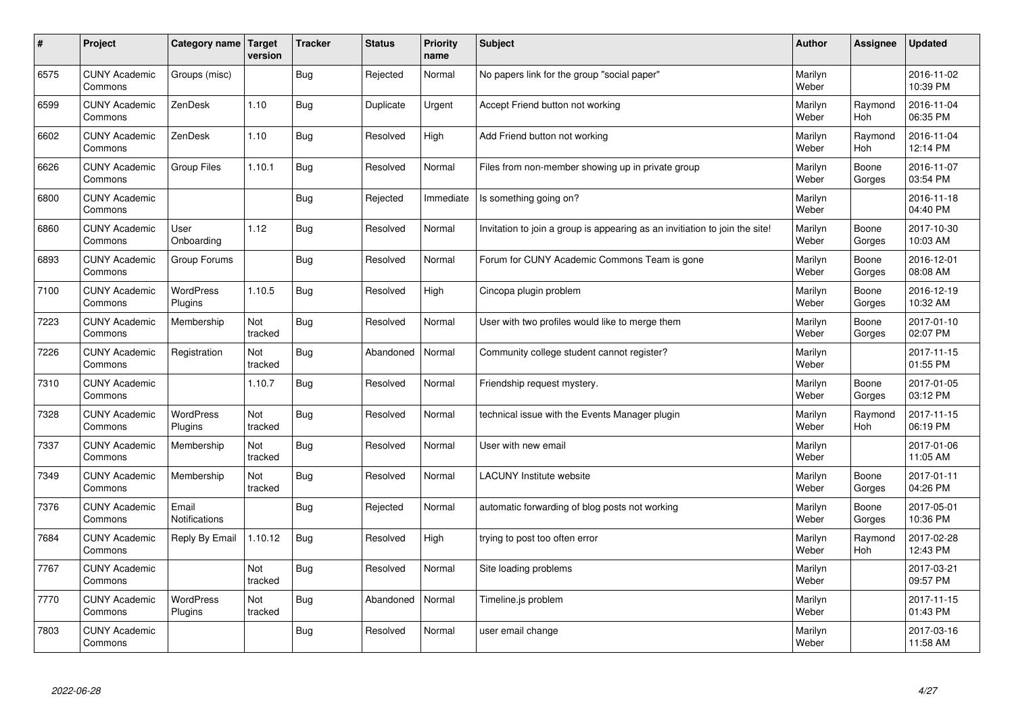| #    | Project                         | <b>Category name</b>        | Target<br>version | <b>Tracker</b> | <b>Status</b> | <b>Priority</b><br>name | <b>Subject</b>                                                              | <b>Author</b>    | <b>Assignee</b> | <b>Updated</b>         |
|------|---------------------------------|-----------------------------|-------------------|----------------|---------------|-------------------------|-----------------------------------------------------------------------------|------------------|-----------------|------------------------|
| 6575 | <b>CUNY Academic</b><br>Commons | Groups (misc)               |                   | Bug            | Rejected      | Normal                  | No papers link for the group "social paper"                                 | Marilyn<br>Weber |                 | 2016-11-02<br>10:39 PM |
| 6599 | <b>CUNY Academic</b><br>Commons | ZenDesk                     | 1.10              | <b>Bug</b>     | Duplicate     | Urgent                  | Accept Friend button not working                                            | Marilyn<br>Weber | Raymond<br>Hoh  | 2016-11-04<br>06:35 PM |
| 6602 | <b>CUNY Academic</b><br>Commons | ZenDesk                     | 1.10              | <b>Bug</b>     | Resolved      | High                    | Add Friend button not working                                               | Marilyn<br>Weber | Raymond<br>Hoh  | 2016-11-04<br>12:14 PM |
| 6626 | <b>CUNY Academic</b><br>Commons | Group Files                 | 1.10.1            | <b>Bug</b>     | Resolved      | Normal                  | Files from non-member showing up in private group                           | Marilyn<br>Weber | Boone<br>Gorges | 2016-11-07<br>03:54 PM |
| 6800 | <b>CUNY Academic</b><br>Commons |                             |                   | Bug            | Rejected      | Immediate               | Is something going on?                                                      | Marilyn<br>Weber |                 | 2016-11-18<br>04:40 PM |
| 6860 | <b>CUNY Academic</b><br>Commons | User<br>Onboarding          | 1.12              | Bug            | Resolved      | Normal                  | Invitation to join a group is appearing as an invitiation to join the site! | Marilyn<br>Weber | Boone<br>Gorges | 2017-10-30<br>10:03 AM |
| 6893 | <b>CUNY Academic</b><br>Commons | Group Forums                |                   | <b>Bug</b>     | Resolved      | Normal                  | Forum for CUNY Academic Commons Team is gone                                | Marilyn<br>Weber | Boone<br>Gorges | 2016-12-01<br>08:08 AM |
| 7100 | <b>CUNY Academic</b><br>Commons | WordPress<br>Plugins        | 1.10.5            | <b>Bug</b>     | Resolved      | High                    | Cincopa plugin problem                                                      | Marilyn<br>Weber | Boone<br>Gorges | 2016-12-19<br>10:32 AM |
| 7223 | <b>CUNY Academic</b><br>Commons | Membership                  | Not<br>tracked    | Bug            | Resolved      | Normal                  | User with two profiles would like to merge them                             | Marilyn<br>Weber | Boone<br>Gorges | 2017-01-10<br>02:07 PM |
| 7226 | <b>CUNY Academic</b><br>Commons | Registration                | Not<br>tracked    | <b>Bug</b>     | Abandoned     | Normal                  | Community college student cannot register?                                  | Marilyn<br>Weber |                 | 2017-11-15<br>01:55 PM |
| 7310 | <b>CUNY Academic</b><br>Commons |                             | 1.10.7            | <b>Bug</b>     | Resolved      | Normal                  | Friendship request mystery.                                                 | Marilyn<br>Weber | Boone<br>Gorges | 2017-01-05<br>03:12 PM |
| 7328 | <b>CUNY Academic</b><br>Commons | <b>WordPress</b><br>Plugins | Not<br>tracked    | Bug            | Resolved      | Normal                  | technical issue with the Events Manager plugin                              | Marilyn<br>Weber | Raymond<br>Hoh  | 2017-11-15<br>06:19 PM |
| 7337 | <b>CUNY Academic</b><br>Commons | Membership                  | Not<br>tracked    | <b>Bug</b>     | Resolved      | Normal                  | User with new email                                                         | Marilyn<br>Weber |                 | 2017-01-06<br>11:05 AM |
| 7349 | <b>CUNY Academic</b><br>Commons | Membership                  | Not<br>tracked    | <b>Bug</b>     | Resolved      | Normal                  | <b>LACUNY</b> Institute website                                             | Marilyn<br>Weber | Boone<br>Gorges | 2017-01-11<br>04:26 PM |
| 7376 | <b>CUNY Academic</b><br>Commons | Email<br>Notifications      |                   | <b>Bug</b>     | Rejected      | Normal                  | automatic forwarding of blog posts not working                              | Marilyn<br>Weber | Boone<br>Gorges | 2017-05-01<br>10:36 PM |
| 7684 | <b>CUNY Academic</b><br>Commons | Reply By Email              | 1.10.12           | Bug            | Resolved      | High                    | trying to post too often error                                              | Marilyn<br>Weber | Raymond<br>Hoh  | 2017-02-28<br>12:43 PM |
| 7767 | <b>CUNY Academic</b><br>Commons |                             | Not<br>tracked    | <b>Bug</b>     | Resolved      | Normal                  | Site loading problems                                                       | Marilyn<br>Weber |                 | 2017-03-21<br>09:57 PM |
| 7770 | <b>CUNY Academic</b><br>Commons | <b>WordPress</b><br>Plugins | Not<br>tracked    | Bug            | Abandoned     | Normal                  | Timeline.js problem                                                         | Marilyn<br>Weber |                 | 2017-11-15<br>01:43 PM |
| 7803 | <b>CUNY Academic</b><br>Commons |                             |                   | Bug            | Resolved      | Normal                  | user email change                                                           | Marilyn<br>Weber |                 | 2017-03-16<br>11:58 AM |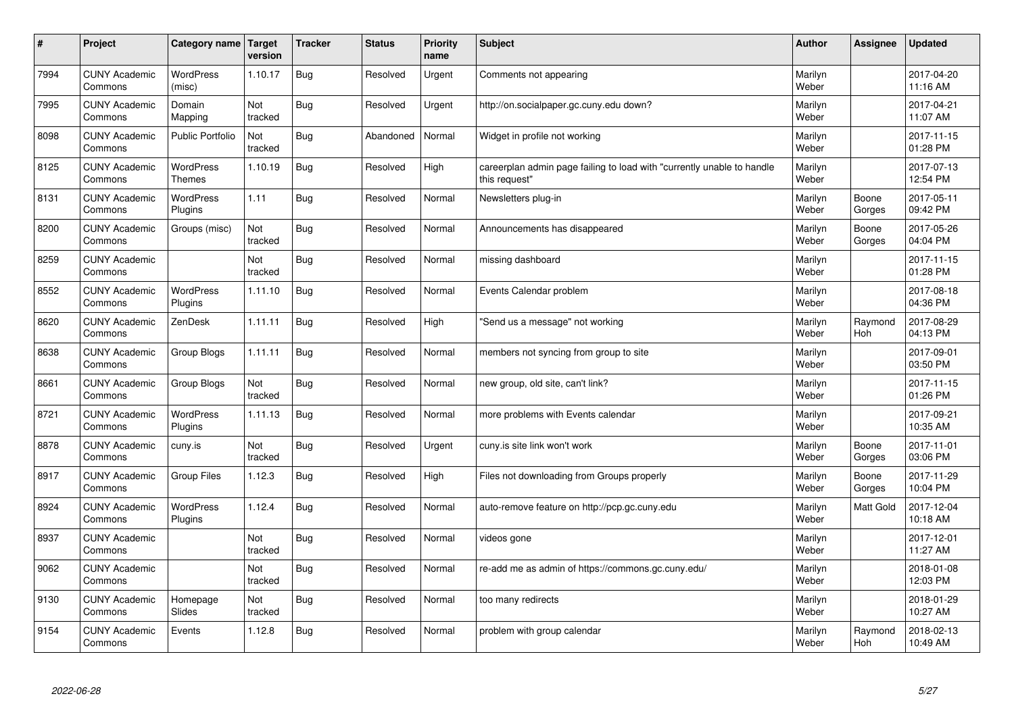| $\sharp$ | Project                         | Category name   Target            | version        | <b>Tracker</b> | <b>Status</b> | <b>Priority</b><br>name | <b>Subject</b>                                                                          | <b>Author</b>    | Assignee              | Updated                |
|----------|---------------------------------|-----------------------------------|----------------|----------------|---------------|-------------------------|-----------------------------------------------------------------------------------------|------------------|-----------------------|------------------------|
| 7994     | <b>CUNY Academic</b><br>Commons | <b>WordPress</b><br>(misc)        | 1.10.17        | Bug            | Resolved      | Urgent                  | Comments not appearing                                                                  | Marilyn<br>Weber |                       | 2017-04-20<br>11:16 AM |
| 7995     | <b>CUNY Academic</b><br>Commons | Domain<br>Mapping                 | Not<br>tracked | Bug            | Resolved      | Urgent                  | http://on.socialpaper.gc.cuny.edu down?                                                 | Marilyn<br>Weber |                       | 2017-04-21<br>11:07 AM |
| 8098     | <b>CUNY Academic</b><br>Commons | <b>Public Portfolio</b>           | Not<br>tracked | Bug            | Abandoned     | Normal                  | Widget in profile not working                                                           | Marilyn<br>Weber |                       | 2017-11-15<br>01:28 PM |
| 8125     | <b>CUNY Academic</b><br>Commons | <b>WordPress</b><br><b>Themes</b> | 1.10.19        | Bug            | Resolved      | High                    | careerplan admin page failing to load with "currently unable to handle<br>this request" | Marilyn<br>Weber |                       | 2017-07-13<br>12:54 PM |
| 8131     | <b>CUNY Academic</b><br>Commons | <b>WordPress</b><br>Plugins       | 1.11           | Bug            | Resolved      | Normal                  | Newsletters plug-in                                                                     | Marilyn<br>Weber | Boone<br>Gorges       | 2017-05-11<br>09:42 PM |
| 8200     | <b>CUNY Academic</b><br>Commons | Groups (misc)                     | Not<br>tracked | Bug            | Resolved      | Normal                  | Announcements has disappeared                                                           | Marilyn<br>Weber | Boone<br>Gorges       | 2017-05-26<br>04:04 PM |
| 8259     | <b>CUNY Academic</b><br>Commons |                                   | Not<br>tracked | Bug            | Resolved      | Normal                  | missing dashboard                                                                       | Marilyn<br>Weber |                       | 2017-11-15<br>01:28 PM |
| 8552     | <b>CUNY Academic</b><br>Commons | <b>WordPress</b><br>Plugins       | 1.11.10        | Bug            | Resolved      | Normal                  | Events Calendar problem                                                                 | Marilyn<br>Weber |                       | 2017-08-18<br>04:36 PM |
| 8620     | <b>CUNY Academic</b><br>Commons | ZenDesk                           | 1.11.11        | Bug            | Resolved      | High                    | 'Send us a message" not working                                                         | Marilyn<br>Weber | Raymond<br><b>Hoh</b> | 2017-08-29<br>04:13 PM |
| 8638     | <b>CUNY Academic</b><br>Commons | Group Blogs                       | 1.11.11        | Bug            | Resolved      | Normal                  | members not syncing from group to site                                                  | Marilyn<br>Weber |                       | 2017-09-01<br>03:50 PM |
| 8661     | <b>CUNY Academic</b><br>Commons | Group Blogs                       | Not<br>tracked | Bug            | Resolved      | Normal                  | new group, old site, can't link?                                                        | Marilyn<br>Weber |                       | 2017-11-15<br>01:26 PM |
| 8721     | <b>CUNY Academic</b><br>Commons | <b>WordPress</b><br>Plugins       | 1.11.13        | Bug            | Resolved      | Normal                  | more problems with Events calendar                                                      | Marilyn<br>Weber |                       | 2017-09-21<br>10:35 AM |
| 8878     | <b>CUNY Academic</b><br>Commons | cuny.is                           | Not<br>tracked | Bug            | Resolved      | Urgent                  | cuny is site link won't work                                                            | Marilyn<br>Weber | Boone<br>Gorges       | 2017-11-01<br>03:06 PM |
| 8917     | <b>CUNY Academic</b><br>Commons | Group Files                       | 1.12.3         | Bug            | Resolved      | High                    | Files not downloading from Groups properly                                              | Marilyn<br>Weber | Boone<br>Gorges       | 2017-11-29<br>10:04 PM |
| 8924     | <b>CUNY Academic</b><br>Commons | <b>WordPress</b><br>Plugins       | 1.12.4         | Bug            | Resolved      | Normal                  | auto-remove feature on http://pcp.gc.cuny.edu                                           | Marilyn<br>Weber | Matt Gold             | 2017-12-04<br>10:18 AM |
| 8937     | <b>CUNY Academic</b><br>Commons |                                   | Not<br>tracked | Bug            | Resolved      | Normal                  | videos gone                                                                             | Marilyn<br>Weber |                       | 2017-12-01<br>11:27 AM |
| 9062     | <b>CUNY Academic</b><br>Commons |                                   | Not<br>tracked | Bug            | Resolved      | Normal                  | re-add me as admin of https://commons.gc.cuny.edu/                                      | Marilyn<br>Weber |                       | 2018-01-08<br>12:03 PM |
| 9130     | <b>CUNY Academic</b><br>Commons | Homepage<br>Slides                | Not<br>tracked | Bug            | Resolved      | Normal                  | too many redirects                                                                      | Marilyn<br>Weber |                       | 2018-01-29<br>10:27 AM |
| 9154     | <b>CUNY Academic</b><br>Commons | Events                            | 1.12.8         | Bug            | Resolved      | Normal                  | problem with group calendar                                                             | Marilyn<br>Weber | Raymond<br>Hoh        | 2018-02-13<br>10:49 AM |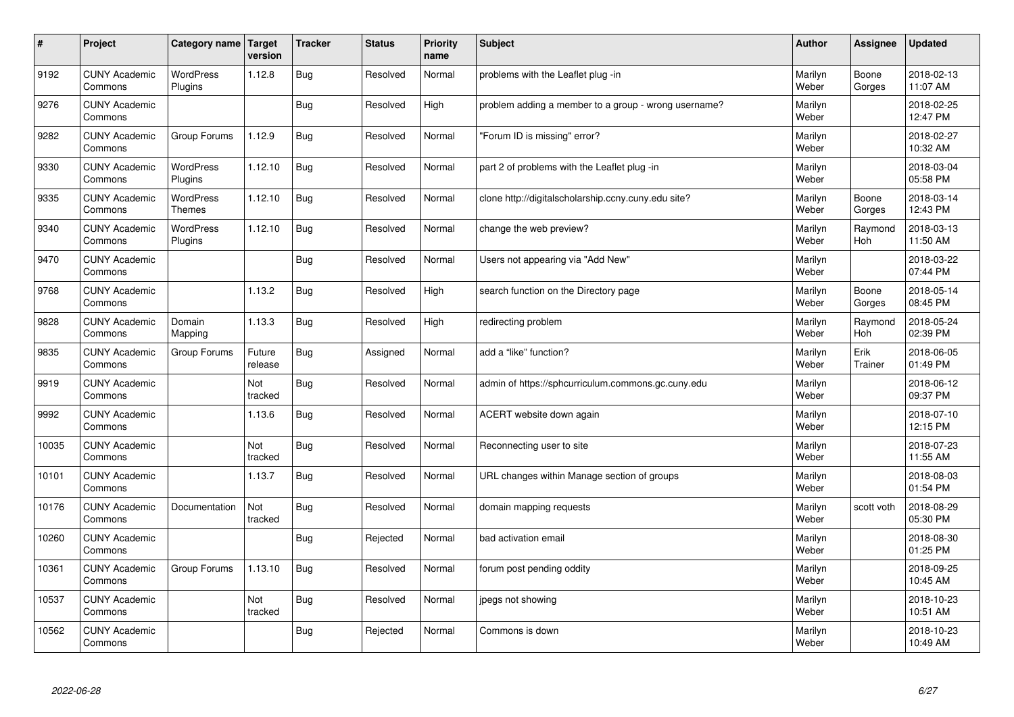| $\vert$ # | Project                         | Category name   Target            | version           | <b>Tracker</b> | <b>Status</b> | <b>Priority</b><br>name | <b>Subject</b>                                       | <b>Author</b>    | Assignee              | Updated                |
|-----------|---------------------------------|-----------------------------------|-------------------|----------------|---------------|-------------------------|------------------------------------------------------|------------------|-----------------------|------------------------|
| 9192      | <b>CUNY Academic</b><br>Commons | <b>WordPress</b><br>Plugins       | 1.12.8            | Bug            | Resolved      | Normal                  | problems with the Leaflet plug -in                   | Marilyn<br>Weber | Boone<br>Gorges       | 2018-02-13<br>11:07 AM |
| 9276      | <b>CUNY Academic</b><br>Commons |                                   |                   | Bug            | Resolved      | High                    | problem adding a member to a group - wrong username? | Marilyn<br>Weber |                       | 2018-02-25<br>12:47 PM |
| 9282      | <b>CUNY Academic</b><br>Commons | Group Forums                      | 1.12.9            | Bug            | Resolved      | Normal                  | 'Forum ID is missing" error?                         | Marilyn<br>Weber |                       | 2018-02-27<br>10:32 AM |
| 9330      | <b>CUNY Academic</b><br>Commons | <b>WordPress</b><br>Plugins       | 1.12.10           | Bug            | Resolved      | Normal                  | part 2 of problems with the Leaflet plug -in         | Marilyn<br>Weber |                       | 2018-03-04<br>05:58 PM |
| 9335      | <b>CUNY Academic</b><br>Commons | <b>WordPress</b><br><b>Themes</b> | 1.12.10           | Bug            | Resolved      | Normal                  | clone http://digitalscholarship.ccny.cuny.edu site?  | Marilyn<br>Weber | Boone<br>Gorges       | 2018-03-14<br>12:43 PM |
| 9340      | <b>CUNY Academic</b><br>Commons | WordPress<br>Plugins              | 1.12.10           | Bug            | Resolved      | Normal                  | change the web preview?                              | Marilyn<br>Weber | Raymond<br>Hoh        | 2018-03-13<br>11:50 AM |
| 9470      | <b>CUNY Academic</b><br>Commons |                                   |                   | Bug            | Resolved      | Normal                  | Users not appearing via "Add New"                    | Marilyn<br>Weber |                       | 2018-03-22<br>07:44 PM |
| 9768      | <b>CUNY Academic</b><br>Commons |                                   | 1.13.2            | Bug            | Resolved      | High                    | search function on the Directory page                | Marilyn<br>Weber | Boone<br>Gorges       | 2018-05-14<br>08:45 PM |
| 9828      | <b>CUNY Academic</b><br>Commons | Domain<br>Mapping                 | 1.13.3            | Bug            | Resolved      | High                    | redirecting problem                                  | Marilyn<br>Weber | Raymond<br><b>Hoh</b> | 2018-05-24<br>02:39 PM |
| 9835      | <b>CUNY Academic</b><br>Commons | Group Forums                      | Future<br>release | Bug            | Assigned      | Normal                  | add a "like" function?                               | Marilyn<br>Weber | Erik<br>Trainer       | 2018-06-05<br>01:49 PM |
| 9919      | <b>CUNY Academic</b><br>Commons |                                   | Not<br>tracked    | Bug            | Resolved      | Normal                  | admin of https://sphcurriculum.commons.gc.cuny.edu   | Marilyn<br>Weber |                       | 2018-06-12<br>09:37 PM |
| 9992      | <b>CUNY Academic</b><br>Commons |                                   | 1.13.6            | Bug            | Resolved      | Normal                  | ACERT website down again                             | Marilyn<br>Weber |                       | 2018-07-10<br>12:15 PM |
| 10035     | <b>CUNY Academic</b><br>Commons |                                   | Not<br>tracked    | Bug            | Resolved      | Normal                  | Reconnecting user to site                            | Marilyn<br>Weber |                       | 2018-07-23<br>11:55 AM |
| 10101     | <b>CUNY Academic</b><br>Commons |                                   | 1.13.7            | Bug            | Resolved      | Normal                  | URL changes within Manage section of groups          | Marilyn<br>Weber |                       | 2018-08-03<br>01:54 PM |
| 10176     | <b>CUNY Academic</b><br>Commons | Documentation                     | Not<br>tracked    | Bug            | Resolved      | Normal                  | domain mapping requests                              | Marilyn<br>Weber | scott voth            | 2018-08-29<br>05:30 PM |
| 10260     | <b>CUNY Academic</b><br>Commons |                                   |                   | Bug            | Rejected      | Normal                  | bad activation email                                 | Marilyn<br>Weber |                       | 2018-08-30<br>01:25 PM |
| 10361     | <b>CUNY Academic</b><br>Commons | Group Forums                      | 1.13.10           | Bug            | Resolved      | Normal                  | forum post pending oddity                            | Marilyn<br>Weber |                       | 2018-09-25<br>10:45 AM |
| 10537     | <b>CUNY Academic</b><br>Commons |                                   | Not<br>tracked    | Bug            | Resolved      | Normal                  | jpegs not showing                                    | Marilyn<br>Weber |                       | 2018-10-23<br>10:51 AM |
| 10562     | <b>CUNY Academic</b><br>Commons |                                   |                   | Bug            | Rejected      | Normal                  | Commons is down                                      | Marilyn<br>Weber |                       | 2018-10-23<br>10:49 AM |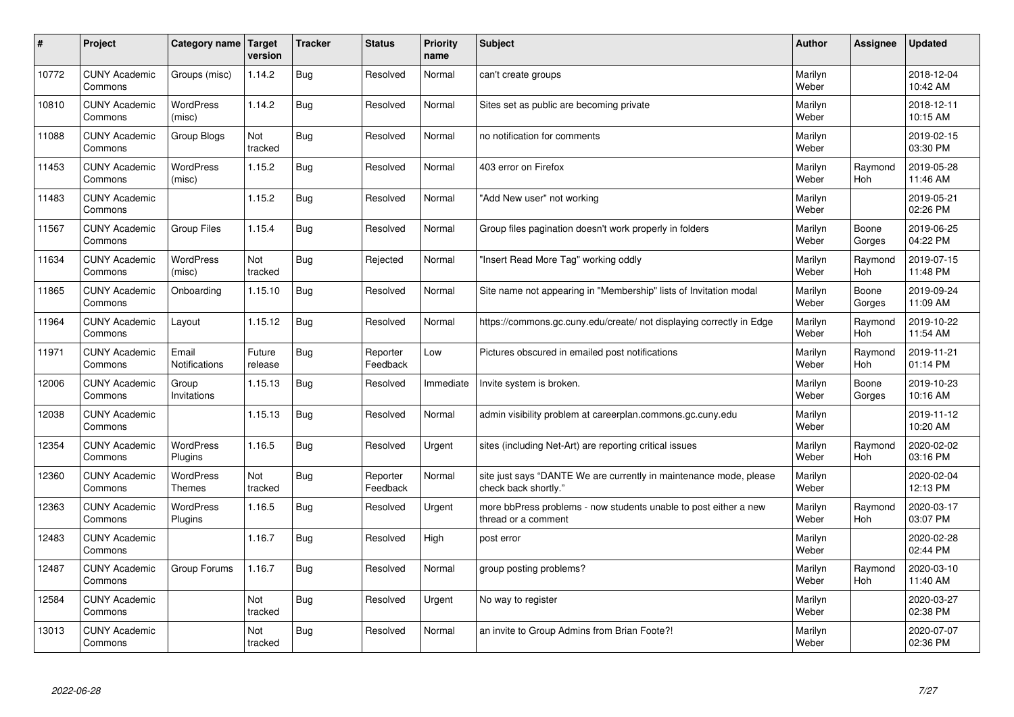| #     | Project                         | Category name                     | Target<br>version | <b>Tracker</b> | <b>Status</b>        | <b>Priority</b><br>name | <b>Subject</b>                                                                             | <b>Author</b>    | Assignee              | <b>Updated</b>         |
|-------|---------------------------------|-----------------------------------|-------------------|----------------|----------------------|-------------------------|--------------------------------------------------------------------------------------------|------------------|-----------------------|------------------------|
| 10772 | <b>CUNY Academic</b><br>Commons | Groups (misc)                     | 1.14.2            | Bug            | Resolved             | Normal                  | can't create groups                                                                        | Marilyn<br>Weber |                       | 2018-12-04<br>10:42 AM |
| 10810 | <b>CUNY Academic</b><br>Commons | <b>WordPress</b><br>(misc)        | 1.14.2            | Bug            | Resolved             | Normal                  | Sites set as public are becoming private                                                   | Marilyn<br>Weber |                       | 2018-12-11<br>10:15 AM |
| 11088 | <b>CUNY Academic</b><br>Commons | Group Blogs                       | Not<br>tracked    | Bug            | Resolved             | Normal                  | no notification for comments                                                               | Marilyn<br>Weber |                       | 2019-02-15<br>03:30 PM |
| 11453 | <b>CUNY Academic</b><br>Commons | <b>WordPress</b><br>(misc)        | 1.15.2            | Bug            | Resolved             | Normal                  | 403 error on Firefox                                                                       | Marilyn<br>Weber | Raymond<br><b>Hoh</b> | 2019-05-28<br>11:46 AM |
| 11483 | <b>CUNY Academic</b><br>Commons |                                   | 1.15.2            | Bug            | Resolved             | Normal                  | "Add New user" not working                                                                 | Marilyn<br>Weber |                       | 2019-05-21<br>02:26 PM |
| 11567 | <b>CUNY Academic</b><br>Commons | <b>Group Files</b>                | 1.15.4            | Bug            | Resolved             | Normal                  | Group files pagination doesn't work properly in folders                                    | Marilyn<br>Weber | Boone<br>Gorges       | 2019-06-25<br>04:22 PM |
| 11634 | <b>CUNY Academic</b><br>Commons | <b>WordPress</b><br>(misc)        | Not<br>tracked    | Bug            | Rejected             | Normal                  | 'Insert Read More Tag" working oddly                                                       | Marilyn<br>Weber | Raymond<br>Hoh        | 2019-07-15<br>11:48 PM |
| 11865 | <b>CUNY Academic</b><br>Commons | Onboarding                        | 1.15.10           | Bug            | Resolved             | Normal                  | Site name not appearing in "Membership" lists of Invitation modal                          | Marilyn<br>Weber | Boone<br>Gorges       | 2019-09-24<br>11:09 AM |
| 11964 | <b>CUNY Academic</b><br>Commons | Layout                            | 1.15.12           | Bug            | Resolved             | Normal                  | https://commons.gc.cuny.edu/create/ not displaying correctly in Edge                       | Marilyn<br>Weber | Raymond<br><b>Hoh</b> | 2019-10-22<br>11:54 AM |
| 11971 | <b>CUNY Academic</b><br>Commons | Email<br>Notifications            | Future<br>release | Bug            | Reporter<br>Feedback | Low                     | Pictures obscured in emailed post notifications                                            | Marilyn<br>Weber | Raymond<br><b>Hoh</b> | 2019-11-21<br>01:14 PM |
| 12006 | <b>CUNY Academic</b><br>Commons | Group<br>Invitations              | 1.15.13           | Bug            | Resolved             | Immediate               | Invite system is broken.                                                                   | Marilyn<br>Weber | Boone<br>Gorges       | 2019-10-23<br>10:16 AM |
| 12038 | <b>CUNY Academic</b><br>Commons |                                   | 1.15.13           | Bug            | Resolved             | Normal                  | admin visibility problem at careerplan.commons.gc.cuny.edu                                 | Marilyn<br>Weber |                       | 2019-11-12<br>10:20 AM |
| 12354 | <b>CUNY Academic</b><br>Commons | <b>WordPress</b><br>Plugins       | 1.16.5            | Bug            | Resolved             | Urgent                  | sites (including Net-Art) are reporting critical issues                                    | Marilyn<br>Weber | Raymond<br>Hoh        | 2020-02-02<br>03:16 PM |
| 12360 | <b>CUNY Academic</b><br>Commons | <b>WordPress</b><br><b>Themes</b> | Not<br>tracked    | Bug            | Reporter<br>Feedback | Normal                  | site just says "DANTE We are currently in maintenance mode, please<br>check back shortly." | Marilyn<br>Weber |                       | 2020-02-04<br>12:13 PM |
| 12363 | <b>CUNY Academic</b><br>Commons | <b>WordPress</b><br>Plugins       | 1.16.5            | Bug            | Resolved             | Urgent                  | more bbPress problems - now students unable to post either a new<br>thread or a comment    | Marilyn<br>Weber | Raymond<br><b>Hoh</b> | 2020-03-17<br>03:07 PM |
| 12483 | <b>CUNY Academic</b><br>Commons |                                   | 1.16.7            | Bug            | Resolved             | High                    | post error                                                                                 | Marilyn<br>Weber |                       | 2020-02-28<br>02:44 PM |
| 12487 | <b>CUNY Academic</b><br>Commons | Group Forums                      | 1.16.7            | Bug            | Resolved             | Normal                  | group posting problems?                                                                    | Marilyn<br>Weber | Raymond<br>Hoh        | 2020-03-10<br>11:40 AM |
| 12584 | <b>CUNY Academic</b><br>Commons |                                   | Not<br>tracked    | Bug            | Resolved             | Urgent                  | No way to register                                                                         | Marilyn<br>Weber |                       | 2020-03-27<br>02:38 PM |
| 13013 | <b>CUNY Academic</b><br>Commons |                                   | Not<br>tracked    | Bug            | Resolved             | Normal                  | an invite to Group Admins from Brian Foote?!                                               | Marilyn<br>Weber |                       | 2020-07-07<br>02:36 PM |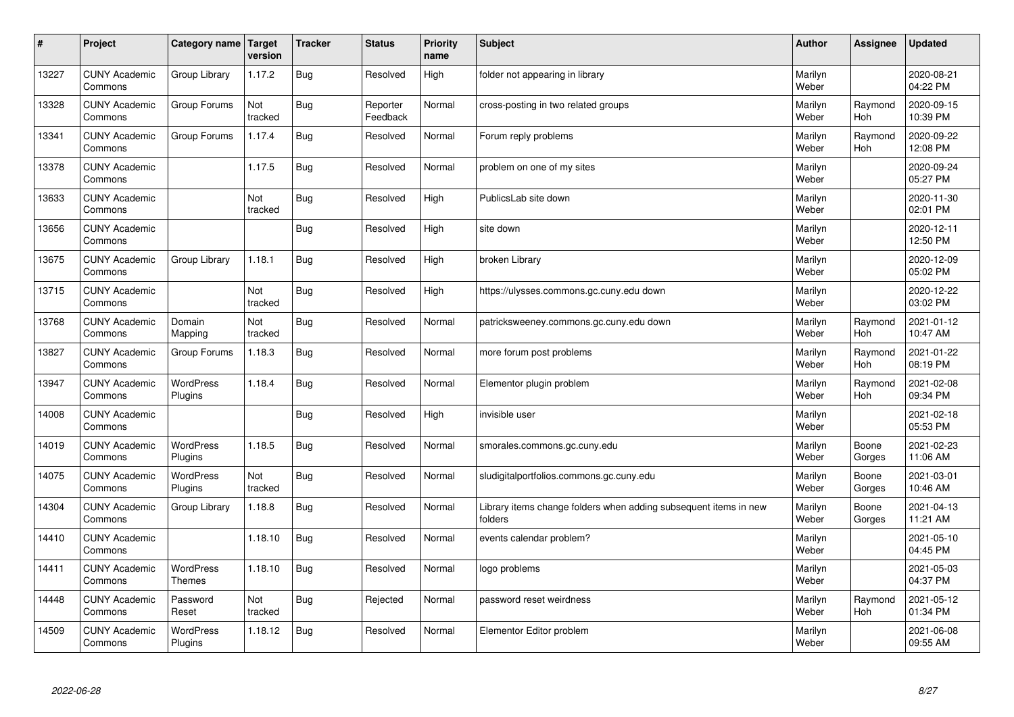| $\sharp$ | Project                         | Category name   Target      | version        | <b>Tracker</b> | <b>Status</b>        | <b>Priority</b><br>name | <b>Subject</b>                                                              | <b>Author</b>    | <b>Assignee</b>       | <b>Updated</b>         |
|----------|---------------------------------|-----------------------------|----------------|----------------|----------------------|-------------------------|-----------------------------------------------------------------------------|------------------|-----------------------|------------------------|
| 13227    | <b>CUNY Academic</b><br>Commons | Group Library               | 1.17.2         | <b>Bug</b>     | Resolved             | High                    | folder not appearing in library                                             | Marilyn<br>Weber |                       | 2020-08-21<br>04:22 PM |
| 13328    | <b>CUNY Academic</b><br>Commons | Group Forums                | Not<br>tracked | Bug            | Reporter<br>Feedback | Normal                  | cross-posting in two related groups                                         | Marilyn<br>Weber | Raymond<br><b>Hoh</b> | 2020-09-15<br>10:39 PM |
| 13341    | <b>CUNY Academic</b><br>Commons | Group Forums                | 1.17.4         | Bug            | Resolved             | Normal                  | Forum reply problems                                                        | Marilyn<br>Weber | Raymond<br>Hoh        | 2020-09-22<br>12:08 PM |
| 13378    | <b>CUNY Academic</b><br>Commons |                             | 1.17.5         | <b>Bug</b>     | Resolved             | Normal                  | problem on one of my sites                                                  | Marilyn<br>Weber |                       | 2020-09-24<br>05:27 PM |
| 13633    | <b>CUNY Academic</b><br>Commons |                             | Not<br>tracked | Bug            | Resolved             | High                    | PublicsLab site down                                                        | Marilyn<br>Weber |                       | 2020-11-30<br>02:01 PM |
| 13656    | <b>CUNY Academic</b><br>Commons |                             |                | Bug            | Resolved             | High                    | site down                                                                   | Marilyn<br>Weber |                       | 2020-12-11<br>12:50 PM |
| 13675    | <b>CUNY Academic</b><br>Commons | Group Library               | 1.18.1         | Bug            | Resolved             | High                    | broken Library                                                              | Marilyn<br>Weber |                       | 2020-12-09<br>05:02 PM |
| 13715    | <b>CUNY Academic</b><br>Commons |                             | Not<br>tracked | Bug            | Resolved             | High                    | https://ulysses.commons.gc.cuny.edu down                                    | Marilyn<br>Weber |                       | 2020-12-22<br>03:02 PM |
| 13768    | <b>CUNY Academic</b><br>Commons | Domain<br>Mapping           | Not<br>tracked | Bug            | Resolved             | Normal                  | patricksweeney.commons.gc.cuny.edu down                                     | Marilyn<br>Weber | Raymond<br>Hoh        | 2021-01-12<br>10:47 AM |
| 13827    | <b>CUNY Academic</b><br>Commons | Group Forums                | 1.18.3         | Bug            | Resolved             | Normal                  | more forum post problems                                                    | Marilyn<br>Weber | Raymond<br><b>Hoh</b> | 2021-01-22<br>08:19 PM |
| 13947    | <b>CUNY Academic</b><br>Commons | WordPress<br>Plugins        | 1.18.4         | Bug            | Resolved             | Normal                  | Elementor plugin problem                                                    | Marilyn<br>Weber | Raymond<br><b>Hoh</b> | 2021-02-08<br>09:34 PM |
| 14008    | <b>CUNY Academic</b><br>Commons |                             |                | Bug            | Resolved             | High                    | invisible user                                                              | Marilyn<br>Weber |                       | 2021-02-18<br>05:53 PM |
| 14019    | <b>CUNY Academic</b><br>Commons | <b>WordPress</b><br>Plugins | 1.18.5         | Bug            | Resolved             | Normal                  | smorales.commons.gc.cuny.edu                                                | Marilyn<br>Weber | Boone<br>Gorges       | 2021-02-23<br>11:06 AM |
| 14075    | <b>CUNY Academic</b><br>Commons | WordPress<br>Plugins        | Not<br>tracked | Bug            | Resolved             | Normal                  | sludigitalportfolios.commons.gc.cuny.edu                                    | Marilyn<br>Weber | Boone<br>Gorges       | 2021-03-01<br>10:46 AM |
| 14304    | <b>CUNY Academic</b><br>Commons | Group Library               | 1.18.8         | Bug            | Resolved             | Normal                  | Library items change folders when adding subsequent items in new<br>folders | Marilyn<br>Weber | Boone<br>Gorges       | 2021-04-13<br>11:21 AM |
| 14410    | <b>CUNY Academic</b><br>Commons |                             | 1.18.10        | <b>Bug</b>     | Resolved             | Normal                  | events calendar problem?                                                    | Marilyn<br>Weber |                       | 2021-05-10<br>04:45 PM |
| 14411    | <b>CUNY Academic</b><br>Commons | WordPress<br>Themes         | 1.18.10        | Bug            | Resolved             | Normal                  | logo problems                                                               | Marilyn<br>Weber |                       | 2021-05-03<br>04:37 PM |
| 14448    | <b>CUNY Academic</b><br>Commons | Password<br>Reset           | Not<br>tracked | Bug            | Rejected             | Normal                  | password reset weirdness                                                    | Marilyn<br>Weber | Raymond<br>Hoh        | 2021-05-12<br>01:34 PM |
| 14509    | <b>CUNY Academic</b><br>Commons | <b>WordPress</b><br>Plugins | 1.18.12        | Bug            | Resolved             | Normal                  | Elementor Editor problem                                                    | Marilyn<br>Weber |                       | 2021-06-08<br>09:55 AM |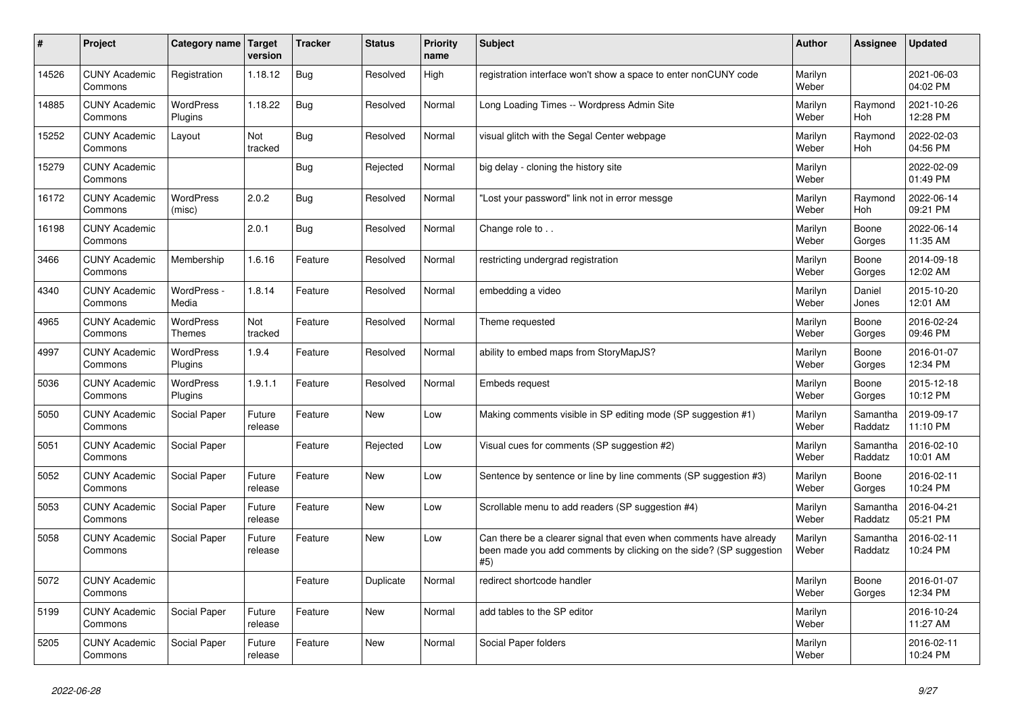| $\pmb{\#}$ | Project                         | Category name                     | <b>Target</b><br>version | <b>Tracker</b> | <b>Status</b> | <b>Priority</b><br>name | <b>Subject</b>                                                                                                                                  | <b>Author</b>    | Assignee              | <b>Updated</b>         |
|------------|---------------------------------|-----------------------------------|--------------------------|----------------|---------------|-------------------------|-------------------------------------------------------------------------------------------------------------------------------------------------|------------------|-----------------------|------------------------|
| 14526      | <b>CUNY Academic</b><br>Commons | Registration                      | 1.18.12                  | <b>Bug</b>     | Resolved      | High                    | registration interface won't show a space to enter nonCUNY code                                                                                 | Marilyn<br>Weber |                       | 2021-06-03<br>04:02 PM |
| 14885      | <b>CUNY Academic</b><br>Commons | <b>WordPress</b><br>Plugins       | 1.18.22                  | Bug            | Resolved      | Normal                  | Long Loading Times -- Wordpress Admin Site                                                                                                      | Marilyn<br>Weber | Raymond<br>Hoh        | 2021-10-26<br>12:28 PM |
| 15252      | <b>CUNY Academic</b><br>Commons | Layout                            | Not<br>tracked           | <b>Bug</b>     | Resolved      | Normal                  | visual glitch with the Segal Center webpage                                                                                                     | Marilyn<br>Weber | Raymond<br><b>Hoh</b> | 2022-02-03<br>04:56 PM |
| 15279      | <b>CUNY Academic</b><br>Commons |                                   |                          | <b>Bug</b>     | Rejected      | Normal                  | big delay - cloning the history site                                                                                                            | Marilyn<br>Weber |                       | 2022-02-09<br>01:49 PM |
| 16172      | <b>CUNY Academic</b><br>Commons | <b>WordPress</b><br>(misc)        | 2.0.2                    | Bug            | Resolved      | Normal                  | Lost your password" link not in error messge                                                                                                    | Marilyn<br>Weber | Raymond<br>Hoh        | 2022-06-14<br>09:21 PM |
| 16198      | <b>CUNY Academic</b><br>Commons |                                   | 2.0.1                    | <b>Bug</b>     | Resolved      | Normal                  | Change role to                                                                                                                                  | Marilyn<br>Weber | Boone<br>Gorges       | 2022-06-14<br>11:35 AM |
| 3466       | <b>CUNY Academic</b><br>Commons | Membership                        | 1.6.16                   | Feature        | Resolved      | Normal                  | restricting undergrad registration                                                                                                              | Marilyn<br>Weber | Boone<br>Gorges       | 2014-09-18<br>12:02 AM |
| 4340       | <b>CUNY Academic</b><br>Commons | WordPress -<br>Media              | 1.8.14                   | Feature        | Resolved      | Normal                  | embedding a video                                                                                                                               | Marilyn<br>Weber | Daniel<br>Jones       | 2015-10-20<br>12:01 AM |
| 4965       | <b>CUNY Academic</b><br>Commons | <b>WordPress</b><br><b>Themes</b> | Not<br>tracked           | Feature        | Resolved      | Normal                  | Theme requested                                                                                                                                 | Marilyn<br>Weber | Boone<br>Gorges       | 2016-02-24<br>09:46 PM |
| 4997       | <b>CUNY Academic</b><br>Commons | <b>WordPress</b><br>Plugins       | 1.9.4                    | Feature        | Resolved      | Normal                  | ability to embed maps from StoryMapJS?                                                                                                          | Marilyn<br>Weber | Boone<br>Gorges       | 2016-01-07<br>12:34 PM |
| 5036       | <b>CUNY Academic</b><br>Commons | <b>WordPress</b><br>Plugins       | 1.9.1.1                  | Feature        | Resolved      | Normal                  | Embeds request                                                                                                                                  | Marilyn<br>Weber | Boone<br>Gorges       | 2015-12-18<br>10:12 PM |
| 5050       | <b>CUNY Academic</b><br>Commons | Social Paper                      | Future<br>release        | Feature        | <b>New</b>    | Low                     | Making comments visible in SP editing mode (SP suggestion #1)                                                                                   | Marilyn<br>Weber | Samantha<br>Raddatz   | 2019-09-17<br>11:10 PM |
| 5051       | <b>CUNY Academic</b><br>Commons | Social Paper                      |                          | Feature        | Rejected      | Low                     | Visual cues for comments (SP suggestion #2)                                                                                                     | Marilyn<br>Weber | Samantha<br>Raddatz   | 2016-02-10<br>10:01 AM |
| 5052       | <b>CUNY Academic</b><br>Commons | <b>Social Paper</b>               | Future<br>release        | Feature        | <b>New</b>    | Low                     | Sentence by sentence or line by line comments (SP suggestion #3)                                                                                | Marilyn<br>Weber | Boone<br>Gorges       | 2016-02-11<br>10:24 PM |
| 5053       | <b>CUNY Academic</b><br>Commons | Social Paper                      | Future<br>release        | Feature        | <b>New</b>    | Low                     | Scrollable menu to add readers (SP suggestion #4)                                                                                               | Marilyn<br>Weber | Samantha<br>Raddatz   | 2016-04-21<br>05:21 PM |
| 5058       | <b>CUNY Academic</b><br>Commons | Social Paper                      | Future<br>release        | Feature        | New           | Low                     | Can there be a clearer signal that even when comments have already<br>been made you add comments by clicking on the side? (SP suggestion<br>#5) | Marilyn<br>Weber | Samantha<br>Raddatz   | 2016-02-11<br>10:24 PM |
| 5072       | <b>CUNY Academic</b><br>Commons |                                   |                          | Feature        | Duplicate     | Normal                  | redirect shortcode handler                                                                                                                      | Marilyn<br>Weber | Boone<br>Gorges       | 2016-01-07<br>12:34 PM |
| 5199       | <b>CUNY Academic</b><br>Commons | Social Paper                      | Future<br>release        | Feature        | <b>New</b>    | Normal                  | add tables to the SP editor                                                                                                                     | Marilyn<br>Weber |                       | 2016-10-24<br>11:27 AM |
| 5205       | <b>CUNY Academic</b><br>Commons | Social Paper                      | Future<br>release        | Feature        | <b>New</b>    | Normal                  | Social Paper folders                                                                                                                            | Marilyn<br>Weber |                       | 2016-02-11<br>10:24 PM |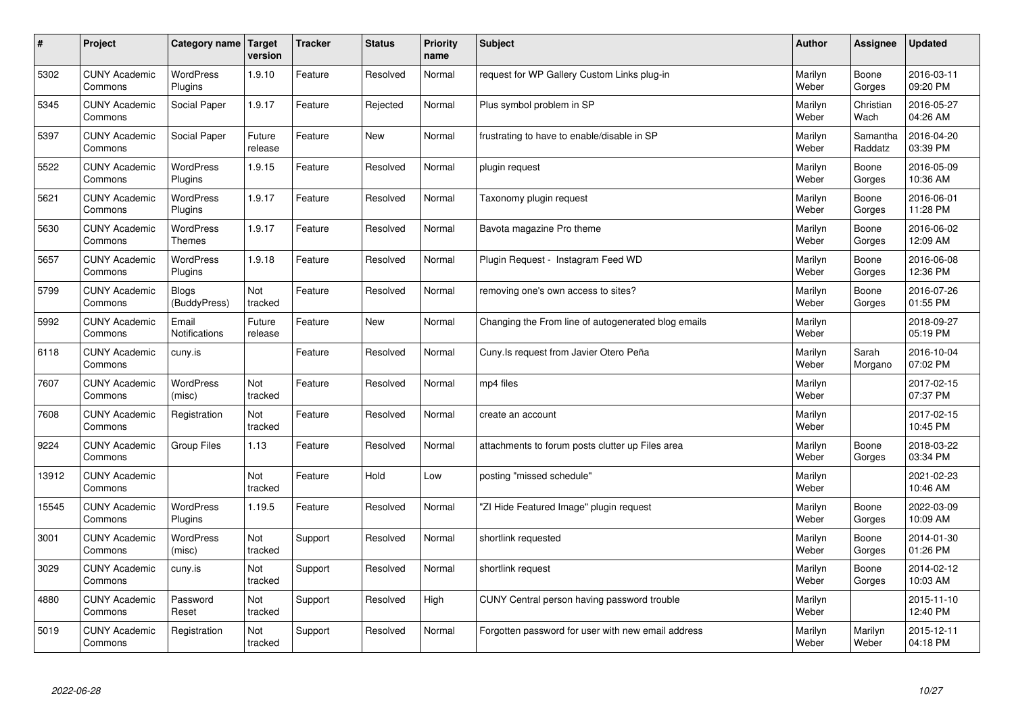| $\sharp$ | Project                         | Category name                | <b>Target</b><br>version | <b>Tracker</b> | <b>Status</b> | <b>Priority</b><br>name | <b>Subject</b>                                      | <b>Author</b>    | Assignee            | <b>Updated</b>         |
|----------|---------------------------------|------------------------------|--------------------------|----------------|---------------|-------------------------|-----------------------------------------------------|------------------|---------------------|------------------------|
| 5302     | <b>CUNY Academic</b><br>Commons | <b>WordPress</b><br>Plugins  | 1.9.10                   | Feature        | Resolved      | Normal                  | request for WP Gallery Custom Links plug-in         | Marilyn<br>Weber | Boone<br>Gorges     | 2016-03-11<br>09:20 PM |
| 5345     | <b>CUNY Academic</b><br>Commons | Social Paper                 | 1.9.17                   | Feature        | Rejected      | Normal                  | Plus symbol problem in SP                           | Marilyn<br>Weber | Christian<br>Wach   | 2016-05-27<br>04:26 AM |
| 5397     | <b>CUNY Academic</b><br>Commons | Social Paper                 | Future<br>release        | Feature        | New           | Normal                  | frustrating to have to enable/disable in SP         | Marilyn<br>Weber | Samantha<br>Raddatz | 2016-04-20<br>03:39 PM |
| 5522     | <b>CUNY Academic</b><br>Commons | <b>WordPress</b><br>Plugins  | 1.9.15                   | Feature        | Resolved      | Normal                  | plugin request                                      | Marilyn<br>Weber | Boone<br>Gorges     | 2016-05-09<br>10:36 AM |
| 5621     | <b>CUNY Academic</b><br>Commons | <b>WordPress</b><br>Plugins  | 1.9.17                   | Feature        | Resolved      | Normal                  | Taxonomy plugin request                             | Marilyn<br>Weber | Boone<br>Gorges     | 2016-06-01<br>11:28 PM |
| 5630     | <b>CUNY Academic</b><br>Commons | WordPress<br><b>Themes</b>   | 1.9.17                   | Feature        | Resolved      | Normal                  | Bavota magazine Pro theme                           | Marilyn<br>Weber | Boone<br>Gorges     | 2016-06-02<br>12:09 AM |
| 5657     | <b>CUNY Academic</b><br>Commons | <b>WordPress</b><br>Plugins  | 1.9.18                   | Feature        | Resolved      | Normal                  | Plugin Request - Instagram Feed WD                  | Marilyn<br>Weber | Boone<br>Gorges     | 2016-06-08<br>12:36 PM |
| 5799     | <b>CUNY Academic</b><br>Commons | <b>Blogs</b><br>(BuddyPress) | Not<br>tracked           | Feature        | Resolved      | Normal                  | removing one's own access to sites?                 | Marilyn<br>Weber | Boone<br>Gorges     | 2016-07-26<br>01:55 PM |
| 5992     | <b>CUNY Academic</b><br>Commons | Email<br>Notifications       | Future<br>release        | Feature        | New           | Normal                  | Changing the From line of autogenerated blog emails | Marilyn<br>Weber |                     | 2018-09-27<br>05:19 PM |
| 6118     | <b>CUNY Academic</b><br>Commons | cuny.is                      |                          | Feature        | Resolved      | Normal                  | Cuny. Is request from Javier Otero Peña             | Marilyn<br>Weber | Sarah<br>Morgano    | 2016-10-04<br>07:02 PM |
| 7607     | <b>CUNY Academic</b><br>Commons | WordPress<br>(misc)          | Not<br>tracked           | Feature        | Resolved      | Normal                  | mp4 files                                           | Marilyn<br>Weber |                     | 2017-02-15<br>07:37 PM |
| 7608     | <b>CUNY Academic</b><br>Commons | Registration                 | Not<br>tracked           | Feature        | Resolved      | Normal                  | create an account                                   | Marilyn<br>Weber |                     | 2017-02-15<br>10:45 PM |
| 9224     | <b>CUNY Academic</b><br>Commons | Group Files                  | 1.13                     | Feature        | Resolved      | Normal                  | attachments to forum posts clutter up Files area    | Marilyn<br>Weber | Boone<br>Gorges     | 2018-03-22<br>03:34 PM |
| 13912    | <b>CUNY Academic</b><br>Commons |                              | Not<br>tracked           | Feature        | Hold          | Low                     | posting "missed schedule"                           | Marilyn<br>Weber |                     | 2021-02-23<br>10:46 AM |
| 15545    | <b>CUNY Academic</b><br>Commons | <b>WordPress</b><br>Plugins  | 1.19.5                   | Feature        | Resolved      | Normal                  | "ZI Hide Featured Image" plugin request             | Marilyn<br>Weber | Boone<br>Gorges     | 2022-03-09<br>10:09 AM |
| 3001     | <b>CUNY Academic</b><br>Commons | <b>WordPress</b><br>(misc)   | Not<br>tracked           | Support        | Resolved      | Normal                  | shortlink requested                                 | Marilyn<br>Weber | Boone<br>Gorges     | 2014-01-30<br>01:26 PM |
| 3029     | <b>CUNY Academic</b><br>Commons | cuny.is                      | Not<br>tracked           | Support        | Resolved      | Normal                  | shortlink request                                   | Marilyn<br>Weber | Boone<br>Gorges     | 2014-02-12<br>10:03 AM |
| 4880     | <b>CUNY Academic</b><br>Commons | Password<br>Reset            | Not<br>tracked           | Support        | Resolved      | High                    | CUNY Central person having password trouble         | Marilyn<br>Weber |                     | 2015-11-10<br>12:40 PM |
| 5019     | <b>CUNY Academic</b><br>Commons | Registration                 | Not<br>tracked           | Support        | Resolved      | Normal                  | Forgotten password for user with new email address  | Marilyn<br>Weber | Marilyn<br>Weber    | 2015-12-11<br>04:18 PM |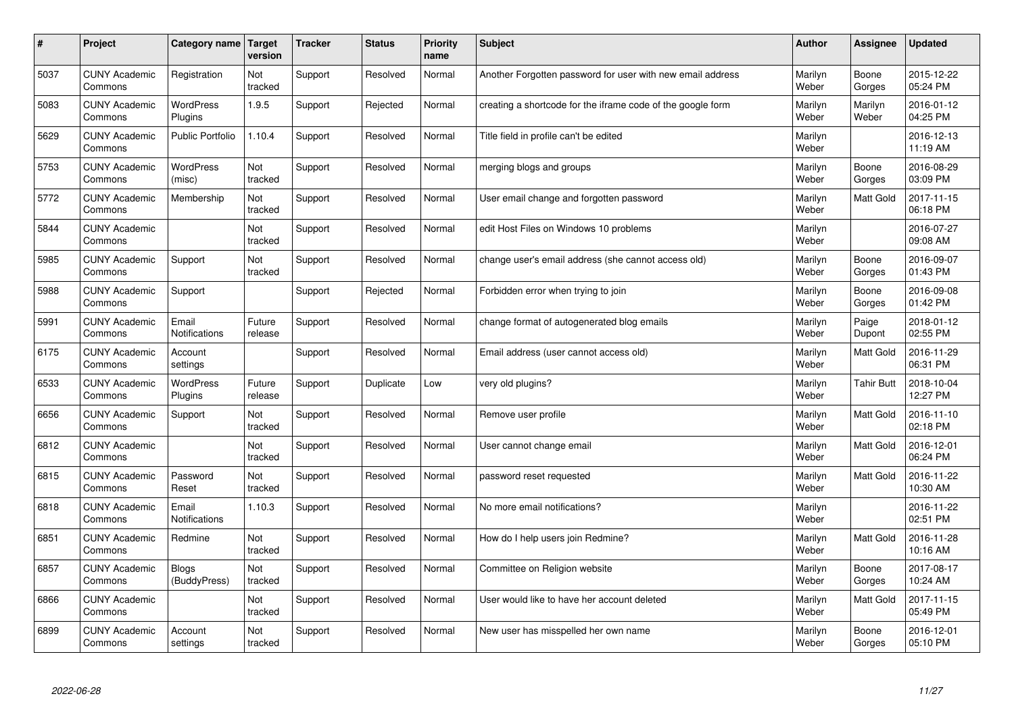| #    | Project                         | Category name   Target        | version           | <b>Tracker</b> | <b>Status</b> | Priority<br>name | <b>Subject</b>                                              | <b>Author</b>    | <b>Assignee</b>   | <b>Updated</b>         |
|------|---------------------------------|-------------------------------|-------------------|----------------|---------------|------------------|-------------------------------------------------------------|------------------|-------------------|------------------------|
| 5037 | <b>CUNY Academic</b><br>Commons | Registration                  | Not<br>tracked    | Support        | Resolved      | Normal           | Another Forgotten password for user with new email address  | Marilyn<br>Weber | Boone<br>Gorges   | 2015-12-22<br>05:24 PM |
| 5083 | <b>CUNY Academic</b><br>Commons | <b>WordPress</b><br>Plugins   | 1.9.5             | Support        | Rejected      | Normal           | creating a shortcode for the iframe code of the google form | Marilyn<br>Weber | Marilyn<br>Weber  | 2016-01-12<br>04:25 PM |
| 5629 | <b>CUNY Academic</b><br>Commons | <b>Public Portfolio</b>       | 1.10.4            | Support        | Resolved      | Normal           | Title field in profile can't be edited                      | Marilyn<br>Weber |                   | 2016-12-13<br>11:19 AM |
| 5753 | <b>CUNY Academic</b><br>Commons | WordPress<br>(misc)           | Not<br>tracked    | Support        | Resolved      | Normal           | merging blogs and groups                                    | Marilyn<br>Weber | Boone<br>Gorges   | 2016-08-29<br>03:09 PM |
| 5772 | <b>CUNY Academic</b><br>Commons | Membership                    | Not<br>tracked    | Support        | Resolved      | Normal           | User email change and forgotten password                    | Marilyn<br>Weber | <b>Matt Gold</b>  | 2017-11-15<br>06:18 PM |
| 5844 | <b>CUNY Academic</b><br>Commons |                               | Not<br>tracked    | Support        | Resolved      | Normal           | edit Host Files on Windows 10 problems                      | Marilyn<br>Weber |                   | 2016-07-27<br>09:08 AM |
| 5985 | <b>CUNY Academic</b><br>Commons | Support                       | Not<br>tracked    | Support        | Resolved      | Normal           | change user's email address (she cannot access old)         | Marilyn<br>Weber | Boone<br>Gorges   | 2016-09-07<br>01:43 PM |
| 5988 | <b>CUNY Academic</b><br>Commons | Support                       |                   | Support        | Rejected      | Normal           | Forbidden error when trying to join                         | Marilyn<br>Weber | Boone<br>Gorges   | 2016-09-08<br>01:42 PM |
| 5991 | <b>CUNY Academic</b><br>Commons | Email<br><b>Notifications</b> | Future<br>release | Support        | Resolved      | Normal           | change format of autogenerated blog emails                  | Marilyn<br>Weber | Paige<br>Dupont   | 2018-01-12<br>02:55 PM |
| 6175 | <b>CUNY Academic</b><br>Commons | Account<br>settings           |                   | Support        | Resolved      | Normal           | Email address (user cannot access old)                      | Marilyn<br>Weber | Matt Gold         | 2016-11-29<br>06:31 PM |
| 6533 | <b>CUNY Academic</b><br>Commons | <b>WordPress</b><br>Plugins   | Future<br>release | Support        | Duplicate     | Low              | very old plugins?                                           | Marilyn<br>Weber | <b>Tahir Butt</b> | 2018-10-04<br>12:27 PM |
| 6656 | <b>CUNY Academic</b><br>Commons | Support                       | Not<br>tracked    | Support        | Resolved      | Normal           | Remove user profile                                         | Marilyn<br>Weber | Matt Gold         | 2016-11-10<br>02:18 PM |
| 6812 | <b>CUNY Academic</b><br>Commons |                               | Not<br>tracked    | Support        | Resolved      | Normal           | User cannot change email                                    | Marilyn<br>Weber | <b>Matt Gold</b>  | 2016-12-01<br>06:24 PM |
| 6815 | <b>CUNY Academic</b><br>Commons | Password<br>Reset             | Not<br>tracked    | Support        | Resolved      | Normal           | password reset requested                                    | Marilyn<br>Weber | Matt Gold         | 2016-11-22<br>10:30 AM |
| 6818 | <b>CUNY Academic</b><br>Commons | Email<br>Notifications        | 1.10.3            | Support        | Resolved      | Normal           | No more email notifications?                                | Marilyn<br>Weber |                   | 2016-11-22<br>02:51 PM |
| 6851 | <b>CUNY Academic</b><br>Commons | Redmine                       | Not<br>tracked    | Support        | Resolved      | Normal           | How do I help users join Redmine?                           | Marilyn<br>Weber | <b>Matt Gold</b>  | 2016-11-28<br>10:16 AM |
| 6857 | <b>CUNY Academic</b><br>Commons | <b>Blogs</b><br>(BuddyPress)  | Not<br>tracked    | Support        | Resolved      | Normal           | Committee on Religion website                               | Marilyn<br>Weber | Boone<br>Gorges   | 2017-08-17<br>10:24 AM |
| 6866 | <b>CUNY Academic</b><br>Commons |                               | Not<br>tracked    | Support        | Resolved      | Normal           | User would like to have her account deleted                 | Marilyn<br>Weber | <b>Matt Gold</b>  | 2017-11-15<br>05:49 PM |
| 6899 | <b>CUNY Academic</b><br>Commons | Account<br>settings           | Not<br>tracked    | Support        | Resolved      | Normal           | New user has misspelled her own name                        | Marilyn<br>Weber | Boone<br>Gorges   | 2016-12-01<br>05:10 PM |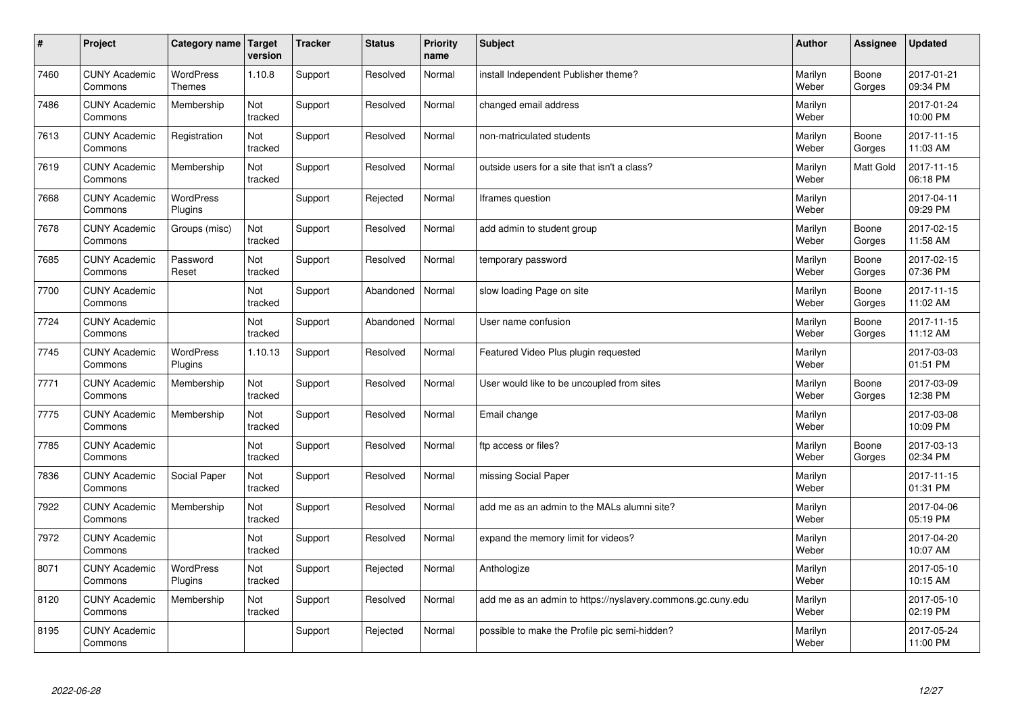| $\sharp$ | Project                         | Category name   Target      | version        | <b>Tracker</b> | <b>Status</b> | <b>Priority</b><br>name | <b>Subject</b>                                              | <b>Author</b>    | Assignee         | Updated                |
|----------|---------------------------------|-----------------------------|----------------|----------------|---------------|-------------------------|-------------------------------------------------------------|------------------|------------------|------------------------|
| 7460     | <b>CUNY Academic</b><br>Commons | <b>WordPress</b><br>Themes  | 1.10.8         | Support        | Resolved      | Normal                  | install Independent Publisher theme?                        | Marilyn<br>Weber | Boone<br>Gorges  | 2017-01-21<br>09:34 PM |
| 7486     | <b>CUNY Academic</b><br>Commons | Membership                  | Not<br>tracked | Support        | Resolved      | Normal                  | changed email address                                       | Marilyn<br>Weber |                  | 2017-01-24<br>10:00 PM |
| 7613     | <b>CUNY Academic</b><br>Commons | Registration                | Not<br>tracked | Support        | Resolved      | Normal                  | non-matriculated students                                   | Marilyn<br>Weber | Boone<br>Gorges  | 2017-11-15<br>11:03 AM |
| 7619     | <b>CUNY Academic</b><br>Commons | Membership                  | Not<br>tracked | Support        | Resolved      | Normal                  | outside users for a site that isn't a class?                | Marilyn<br>Weber | <b>Matt Gold</b> | 2017-11-15<br>06:18 PM |
| 7668     | <b>CUNY Academic</b><br>Commons | <b>WordPress</b><br>Plugins |                | Support        | Rejected      | Normal                  | Iframes question                                            | Marilyn<br>Weber |                  | 2017-04-11<br>09:29 PM |
| 7678     | <b>CUNY Academic</b><br>Commons | Groups (misc)               | Not<br>tracked | Support        | Resolved      | Normal                  | add admin to student group                                  | Marilyn<br>Weber | Boone<br>Gorges  | 2017-02-15<br>11:58 AM |
| 7685     | <b>CUNY Academic</b><br>Commons | Password<br>Reset           | Not<br>tracked | Support        | Resolved      | Normal                  | temporary password                                          | Marilyn<br>Weber | Boone<br>Gorges  | 2017-02-15<br>07:36 PM |
| 7700     | <b>CUNY Academic</b><br>Commons |                             | Not<br>tracked | Support        | Abandoned     | Normal                  | slow loading Page on site                                   | Marilyn<br>Weber | Boone<br>Gorges  | 2017-11-15<br>11:02 AM |
| 7724     | <b>CUNY Academic</b><br>Commons |                             | Not<br>tracked | Support        | Abandoned     | Normal                  | User name confusion                                         | Marilyn<br>Weber | Boone<br>Gorges  | 2017-11-15<br>11:12 AM |
| 7745     | <b>CUNY Academic</b><br>Commons | WordPress<br>Plugins        | 1.10.13        | Support        | Resolved      | Normal                  | Featured Video Plus plugin requested                        | Marilyn<br>Weber |                  | 2017-03-03<br>01:51 PM |
| 7771     | <b>CUNY Academic</b><br>Commons | Membership                  | Not<br>tracked | Support        | Resolved      | Normal                  | User would like to be uncoupled from sites                  | Marilyn<br>Weber | Boone<br>Gorges  | 2017-03-09<br>12:38 PM |
| 7775     | <b>CUNY Academic</b><br>Commons | Membership                  | Not<br>tracked | Support        | Resolved      | Normal                  | Email change                                                | Marilyn<br>Weber |                  | 2017-03-08<br>10:09 PM |
| 7785     | <b>CUNY Academic</b><br>Commons |                             | Not<br>tracked | Support        | Resolved      | Normal                  | ftp access or files?                                        | Marilyn<br>Weber | Boone<br>Gorges  | 2017-03-13<br>02:34 PM |
| 7836     | <b>CUNY Academic</b><br>Commons | Social Paper                | Not<br>tracked | Support        | Resolved      | Normal                  | missing Social Paper                                        | Marilyn<br>Weber |                  | 2017-11-15<br>01:31 PM |
| 7922     | <b>CUNY Academic</b><br>Commons | Membership                  | Not<br>tracked | Support        | Resolved      | Normal                  | add me as an admin to the MALs alumni site?                 | Marilyn<br>Weber |                  | 2017-04-06<br>05:19 PM |
| 7972     | <b>CUNY Academic</b><br>Commons |                             | Not<br>tracked | Support        | Resolved      | Normal                  | expand the memory limit for videos?                         | Marilyn<br>Weber |                  | 2017-04-20<br>10:07 AM |
| 8071     | <b>CUNY Academic</b><br>Commons | WordPress<br>Plugins        | Not<br>tracked | Support        | Rejected      | Normal                  | Anthologize                                                 | Marilyn<br>Weber |                  | 2017-05-10<br>10:15 AM |
| 8120     | <b>CUNY Academic</b><br>Commons | Membership                  | Not<br>tracked | Support        | Resolved      | Normal                  | add me as an admin to https://nyslavery.commons.gc.cuny.edu | Marilyn<br>Weber |                  | 2017-05-10<br>02:19 PM |
| 8195     | <b>CUNY Academic</b><br>Commons |                             |                | Support        | Rejected      | Normal                  | possible to make the Profile pic semi-hidden?               | Marilyn<br>Weber |                  | 2017-05-24<br>11:00 PM |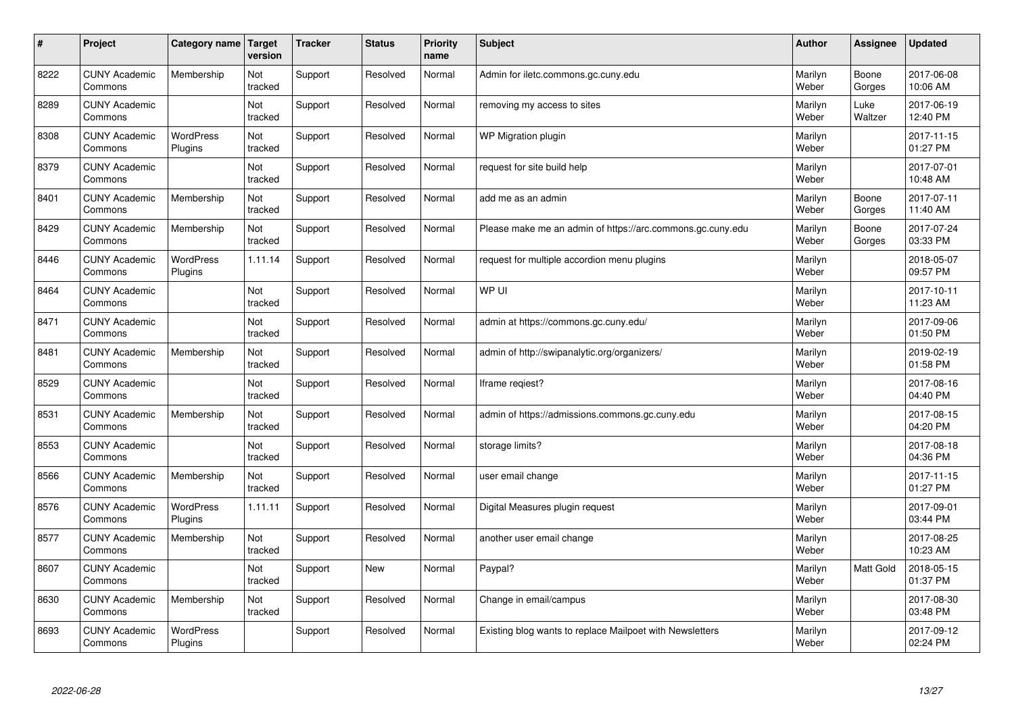| $\sharp$ | Project                         | Category name   Target      | version        | <b>Tracker</b> | <b>Status</b> | <b>Priority</b><br>name | <b>Subject</b>                                             | <b>Author</b>    | Assignee        | Updated                |
|----------|---------------------------------|-----------------------------|----------------|----------------|---------------|-------------------------|------------------------------------------------------------|------------------|-----------------|------------------------|
| 8222     | <b>CUNY Academic</b><br>Commons | Membership                  | Not<br>tracked | Support        | Resolved      | Normal                  | Admin for iletc.commons.gc.cuny.edu                        | Marilyn<br>Weber | Boone<br>Gorges | 2017-06-08<br>10:06 AM |
| 8289     | <b>CUNY Academic</b><br>Commons |                             | Not<br>tracked | Support        | Resolved      | Normal                  | removing my access to sites                                | Marilyn<br>Weber | Luke<br>Waltzer | 2017-06-19<br>12:40 PM |
| 8308     | <b>CUNY Academic</b><br>Commons | <b>WordPress</b><br>Plugins | Not<br>tracked | Support        | Resolved      | Normal                  | WP Migration plugin                                        | Marilyn<br>Weber |                 | 2017-11-15<br>01:27 PM |
| 8379     | <b>CUNY Academic</b><br>Commons |                             | Not<br>tracked | Support        | Resolved      | Normal                  | request for site build help                                | Marilyn<br>Weber |                 | 2017-07-01<br>10:48 AM |
| 8401     | <b>CUNY Academic</b><br>Commons | Membership                  | Not<br>tracked | Support        | Resolved      | Normal                  | add me as an admin                                         | Marilyn<br>Weber | Boone<br>Gorges | 2017-07-11<br>11:40 AM |
| 8429     | <b>CUNY Academic</b><br>Commons | Membership                  | Not<br>tracked | Support        | Resolved      | Normal                  | Please make me an admin of https://arc.commons.gc.cuny.edu | Marilyn<br>Weber | Boone<br>Gorges | 2017-07-24<br>03:33 PM |
| 8446     | <b>CUNY Academic</b><br>Commons | <b>WordPress</b><br>Plugins | 1.11.14        | Support        | Resolved      | Normal                  | request for multiple accordion menu plugins                | Marilyn<br>Weber |                 | 2018-05-07<br>09:57 PM |
| 8464     | <b>CUNY Academic</b><br>Commons |                             | Not<br>tracked | Support        | Resolved      | Normal                  | WP UI                                                      | Marilyn<br>Weber |                 | 2017-10-11<br>11:23 AM |
| 8471     | <b>CUNY Academic</b><br>Commons |                             | Not<br>tracked | Support        | Resolved      | Normal                  | admin at https://commons.gc.cuny.edu/                      | Marilyn<br>Weber |                 | 2017-09-06<br>01:50 PM |
| 8481     | <b>CUNY Academic</b><br>Commons | Membership                  | Not<br>tracked | Support        | Resolved      | Normal                  | admin of http://swipanalytic.org/organizers/               | Marilyn<br>Weber |                 | 2019-02-19<br>01:58 PM |
| 8529     | <b>CUNY Academic</b><br>Commons |                             | Not<br>tracked | Support        | Resolved      | Normal                  | Iframe regiest?                                            | Marilyn<br>Weber |                 | 2017-08-16<br>04:40 PM |
| 8531     | <b>CUNY Academic</b><br>Commons | Membership                  | Not<br>tracked | Support        | Resolved      | Normal                  | admin of https://admissions.commons.gc.cuny.edu            | Marilyn<br>Weber |                 | 2017-08-15<br>04:20 PM |
| 8553     | <b>CUNY Academic</b><br>Commons |                             | Not<br>tracked | Support        | Resolved      | Normal                  | storage limits?                                            | Marilyn<br>Weber |                 | 2017-08-18<br>04:36 PM |
| 8566     | <b>CUNY Academic</b><br>Commons | Membership                  | Not<br>tracked | Support        | Resolved      | Normal                  | user email change                                          | Marilyn<br>Weber |                 | 2017-11-15<br>01:27 PM |
| 8576     | <b>CUNY Academic</b><br>Commons | WordPress<br>Plugins        | 1.11.11        | Support        | Resolved      | Normal                  | Digital Measures plugin request                            | Marilyn<br>Weber |                 | 2017-09-01<br>03:44 PM |
| 8577     | <b>CUNY Academic</b><br>Commons | Membership                  | Not<br>tracked | Support        | Resolved      | Normal                  | another user email change                                  | Marilyn<br>Weber |                 | 2017-08-25<br>10:23 AM |
| 8607     | <b>CUNY Academic</b><br>Commons |                             | Not<br>tracked | Support        | <b>New</b>    | Normal                  | Paypal?                                                    | Marilyn<br>Weber | Matt Gold       | 2018-05-15<br>01:37 PM |
| 8630     | <b>CUNY Academic</b><br>Commons | Membership                  | Not<br>tracked | Support        | Resolved      | Normal                  | Change in email/campus                                     | Marilyn<br>Weber |                 | 2017-08-30<br>03:48 PM |
| 8693     | <b>CUNY Academic</b><br>Commons | WordPress<br>Plugins        |                | Support        | Resolved      | Normal                  | Existing blog wants to replace Mailpoet with Newsletters   | Marilyn<br>Weber |                 | 2017-09-12<br>02:24 PM |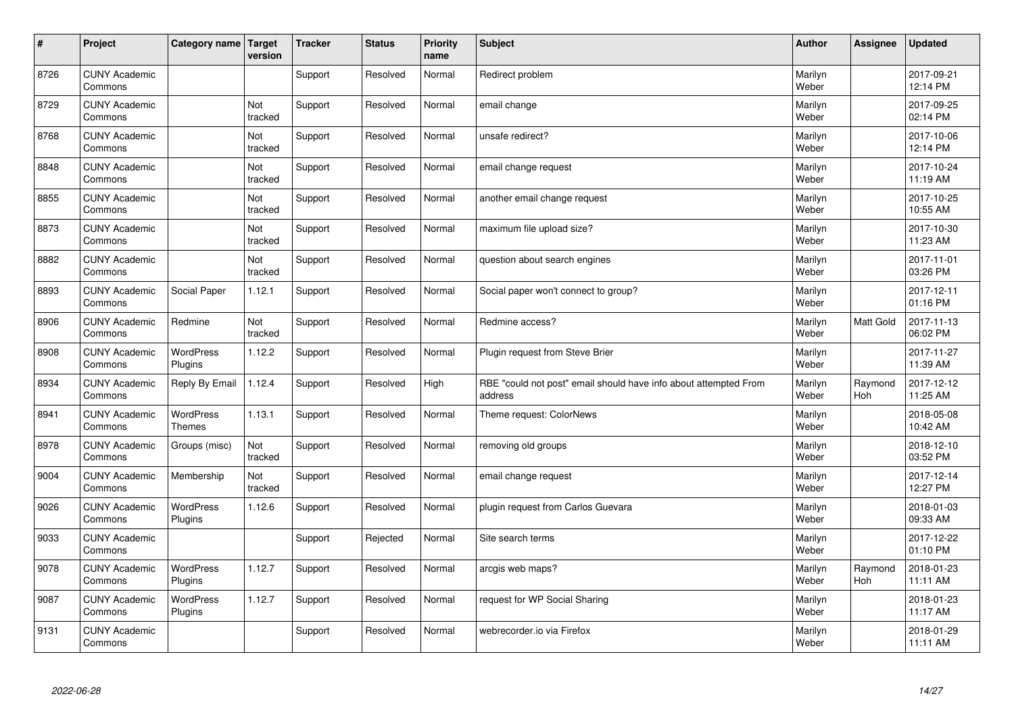| $\vert$ # | Project                         | Category name   Target     | version        | <b>Tracker</b> | <b>Status</b> | <b>Priority</b><br>name | <b>Subject</b>                                                              | <b>Author</b>    | Assignee              | <b>Updated</b>         |
|-----------|---------------------------------|----------------------------|----------------|----------------|---------------|-------------------------|-----------------------------------------------------------------------------|------------------|-----------------------|------------------------|
| 8726      | <b>CUNY Academic</b><br>Commons |                            |                | Support        | Resolved      | Normal                  | Redirect problem                                                            | Marilyn<br>Weber |                       | 2017-09-21<br>12:14 PM |
| 8729      | <b>CUNY Academic</b><br>Commons |                            | Not<br>tracked | Support        | Resolved      | Normal                  | email change                                                                | Marilyn<br>Weber |                       | 2017-09-25<br>02:14 PM |
| 8768      | <b>CUNY Academic</b><br>Commons |                            | Not<br>tracked | Support        | Resolved      | Normal                  | unsafe redirect?                                                            | Marilyn<br>Weber |                       | 2017-10-06<br>12:14 PM |
| 8848      | <b>CUNY Academic</b><br>Commons |                            | Not<br>tracked | Support        | Resolved      | Normal                  | email change request                                                        | Marilyn<br>Weber |                       | 2017-10-24<br>11:19 AM |
| 8855      | <b>CUNY Academic</b><br>Commons |                            | Not<br>tracked | Support        | Resolved      | Normal                  | another email change request                                                | Marilyn<br>Weber |                       | 2017-10-25<br>10:55 AM |
| 8873      | <b>CUNY Academic</b><br>Commons |                            | Not<br>tracked | Support        | Resolved      | Normal                  | maximum file upload size?                                                   | Marilyn<br>Weber |                       | 2017-10-30<br>11:23 AM |
| 8882      | <b>CUNY Academic</b><br>Commons |                            | Not<br>tracked | Support        | Resolved      | Normal                  | question about search engines                                               | Marilyn<br>Weber |                       | 2017-11-01<br>03:26 PM |
| 8893      | <b>CUNY Academic</b><br>Commons | Social Paper               | 1.12.1         | Support        | Resolved      | Normal                  | Social paper won't connect to group?                                        | Marilyn<br>Weber |                       | 2017-12-11<br>01:16 PM |
| 8906      | <b>CUNY Academic</b><br>Commons | Redmine                    | Not<br>tracked | Support        | Resolved      | Normal                  | Redmine access?                                                             | Marilyn<br>Weber | Matt Gold             | 2017-11-13<br>06:02 PM |
| 8908      | <b>CUNY Academic</b><br>Commons | WordPress<br>Plugins       | 1.12.2         | Support        | Resolved      | Normal                  | Plugin request from Steve Brier                                             | Marilyn<br>Weber |                       | 2017-11-27<br>11:39 AM |
| 8934      | <b>CUNY Academic</b><br>Commons | Reply By Email             | 1.12.4         | Support        | Resolved      | High                    | RBE "could not post" email should have info about attempted From<br>address | Marilyn<br>Weber | Raymond<br><b>Hoh</b> | 2017-12-12<br>11:25 AM |
| 8941      | <b>CUNY Academic</b><br>Commons | WordPress<br><b>Themes</b> | 1.13.1         | Support        | Resolved      | Normal                  | Theme request: ColorNews                                                    | Marilyn<br>Weber |                       | 2018-05-08<br>10:42 AM |
| 8978      | <b>CUNY Academic</b><br>Commons | Groups (misc)              | Not<br>tracked | Support        | Resolved      | Normal                  | removing old groups                                                         | Marilyn<br>Weber |                       | 2018-12-10<br>03:52 PM |
| 9004      | <b>CUNY Academic</b><br>Commons | Membership                 | Not<br>tracked | Support        | Resolved      | Normal                  | email change request                                                        | Marilyn<br>Weber |                       | 2017-12-14<br>12:27 PM |
| 9026      | <b>CUNY Academic</b><br>Commons | WordPress<br>Plugins       | 1.12.6         | Support        | Resolved      | Normal                  | plugin request from Carlos Guevara                                          | Marilyn<br>Weber |                       | 2018-01-03<br>09:33 AM |
| 9033      | <b>CUNY Academic</b><br>Commons |                            |                | Support        | Rejected      | Normal                  | Site search terms                                                           | Marilyn<br>Weber |                       | 2017-12-22<br>01:10 PM |
| 9078      | <b>CUNY Academic</b><br>Commons | WordPress<br>Plugins       | 1.12.7         | Support        | Resolved      | Normal                  | arcgis web maps?                                                            | Marilyn<br>Weber | Raymond<br>Hoh        | 2018-01-23<br>11:11 AM |
| 9087      | <b>CUNY Academic</b><br>Commons | WordPress<br>Plugins       | 1.12.7         | Support        | Resolved      | Normal                  | request for WP Social Sharing                                               | Marilyn<br>Weber |                       | 2018-01-23<br>11:17 AM |
| 9131      | <b>CUNY Academic</b><br>Commons |                            |                | Support        | Resolved      | Normal                  | webrecorder.io via Firefox                                                  | Marilyn<br>Weber |                       | 2018-01-29<br>11:11 AM |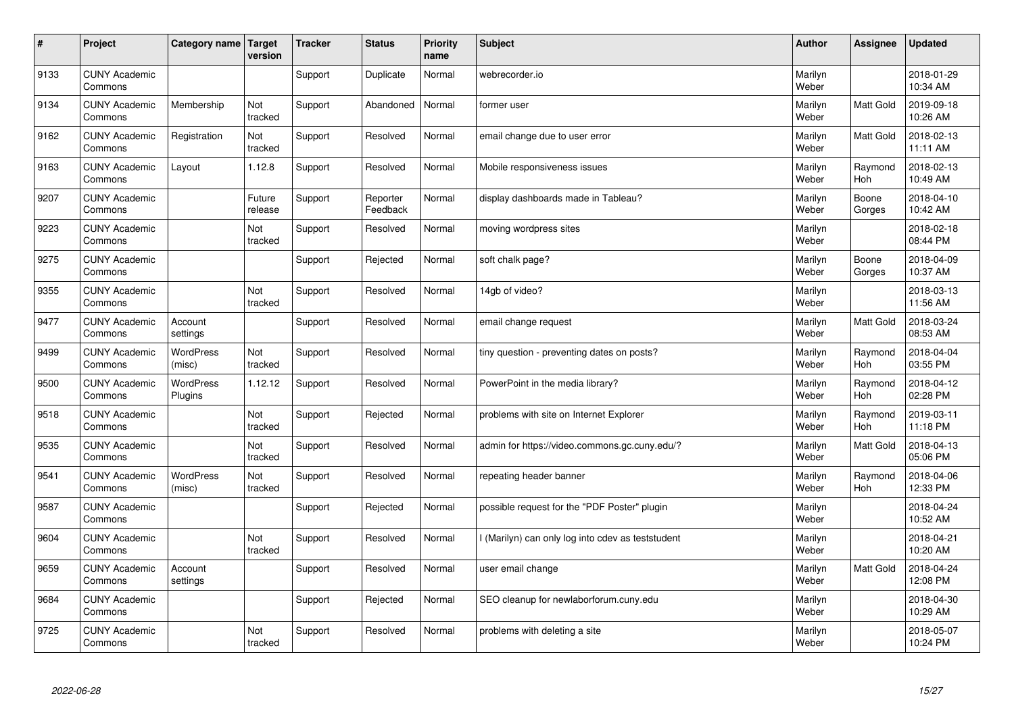| $\sharp$ | Project                         | Category name   Target      | version           | <b>Tracker</b> | <b>Status</b>        | <b>Priority</b><br>name | <b>Subject</b>                                    | <b>Author</b>    | <b>Assignee</b>       | <b>Updated</b>         |
|----------|---------------------------------|-----------------------------|-------------------|----------------|----------------------|-------------------------|---------------------------------------------------|------------------|-----------------------|------------------------|
| 9133     | <b>CUNY Academic</b><br>Commons |                             |                   | Support        | Duplicate            | Normal                  | webrecorder.jo                                    | Marilyn<br>Weber |                       | 2018-01-29<br>10:34 AM |
| 9134     | <b>CUNY Academic</b><br>Commons | Membership                  | Not<br>tracked    | Support        | Abandoned            | Normal                  | former user                                       | Marilyn<br>Weber | <b>Matt Gold</b>      | 2019-09-18<br>10:26 AM |
| 9162     | <b>CUNY Academic</b><br>Commons | Registration                | Not<br>tracked    | Support        | Resolved             | Normal                  | email change due to user error                    | Marilyn<br>Weber | Matt Gold             | 2018-02-13<br>11:11 AM |
| 9163     | <b>CUNY Academic</b><br>Commons | Layout                      | 1.12.8            | Support        | Resolved             | Normal                  | Mobile responsiveness issues                      | Marilyn<br>Weber | Raymond<br>Hoh        | 2018-02-13<br>10:49 AM |
| 9207     | <b>CUNY Academic</b><br>Commons |                             | Future<br>release | Support        | Reporter<br>Feedback | Normal                  | display dashboards made in Tableau?               | Marilyn<br>Weber | Boone<br>Gorges       | 2018-04-10<br>10:42 AM |
| 9223     | <b>CUNY Academic</b><br>Commons |                             | Not<br>tracked    | Support        | Resolved             | Normal                  | moving wordpress sites                            | Marilyn<br>Weber |                       | 2018-02-18<br>08:44 PM |
| 9275     | <b>CUNY Academic</b><br>Commons |                             |                   | Support        | Rejected             | Normal                  | soft chalk page?                                  | Marilyn<br>Weber | Boone<br>Gorges       | 2018-04-09<br>10:37 AM |
| 9355     | <b>CUNY Academic</b><br>Commons |                             | Not<br>tracked    | Support        | Resolved             | Normal                  | 14gb of video?                                    | Marilyn<br>Weber |                       | 2018-03-13<br>11:56 AM |
| 9477     | <b>CUNY Academic</b><br>Commons | Account<br>settings         |                   | Support        | Resolved             | Normal                  | email change request                              | Marilyn<br>Weber | <b>Matt Gold</b>      | 2018-03-24<br>08:53 AM |
| 9499     | <b>CUNY Academic</b><br>Commons | <b>WordPress</b><br>(misc)  | Not<br>tracked    | Support        | Resolved             | Normal                  | tiny question - preventing dates on posts?        | Marilyn<br>Weber | Raymond<br><b>Hoh</b> | 2018-04-04<br>03:55 PM |
| 9500     | <b>CUNY Academic</b><br>Commons | <b>WordPress</b><br>Plugins | 1.12.12           | Support        | Resolved             | Normal                  | PowerPoint in the media library?                  | Marilyn<br>Weber | Raymond<br><b>Hoh</b> | 2018-04-12<br>02:28 PM |
| 9518     | <b>CUNY Academic</b><br>Commons |                             | Not<br>tracked    | Support        | Rejected             | Normal                  | problems with site on Internet Explorer           | Marilyn<br>Weber | Raymond<br>Hoh        | 2019-03-11<br>11:18 PM |
| 9535     | <b>CUNY Academic</b><br>Commons |                             | Not<br>tracked    | Support        | Resolved             | Normal                  | admin for https://video.commons.gc.cuny.edu/?     | Marilyn<br>Weber | <b>Matt Gold</b>      | 2018-04-13<br>05:06 PM |
| 9541     | <b>CUNY Academic</b><br>Commons | <b>WordPress</b><br>(misc)  | Not<br>tracked    | Support        | Resolved             | Normal                  | repeating header banner                           | Marilyn<br>Weber | Raymond<br><b>Hoh</b> | 2018-04-06<br>12:33 PM |
| 9587     | <b>CUNY Academic</b><br>Commons |                             |                   | Support        | Rejected             | Normal                  | possible request for the "PDF Poster" plugin      | Marilyn<br>Weber |                       | 2018-04-24<br>10:52 AM |
| 9604     | <b>CUNY Academic</b><br>Commons |                             | Not<br>tracked    | Support        | Resolved             | Normal                  | I (Marilyn) can only log into cdev as teststudent | Marilyn<br>Weber |                       | 2018-04-21<br>10:20 AM |
| 9659     | <b>CUNY Academic</b><br>Commons | Account<br>settings         |                   | Support        | Resolved             | Normal                  | user email change                                 | Marilyn<br>Weber | <b>Matt Gold</b>      | 2018-04-24<br>12:08 PM |
| 9684     | <b>CUNY Academic</b><br>Commons |                             |                   | Support        | Rejected             | Normal                  | SEO cleanup for newlaborforum.cuny.edu            | Marilyn<br>Weber |                       | 2018-04-30<br>10:29 AM |
| 9725     | <b>CUNY Academic</b><br>Commons |                             | Not<br>tracked    | Support        | Resolved             | Normal                  | problems with deleting a site                     | Marilyn<br>Weber |                       | 2018-05-07<br>10:24 PM |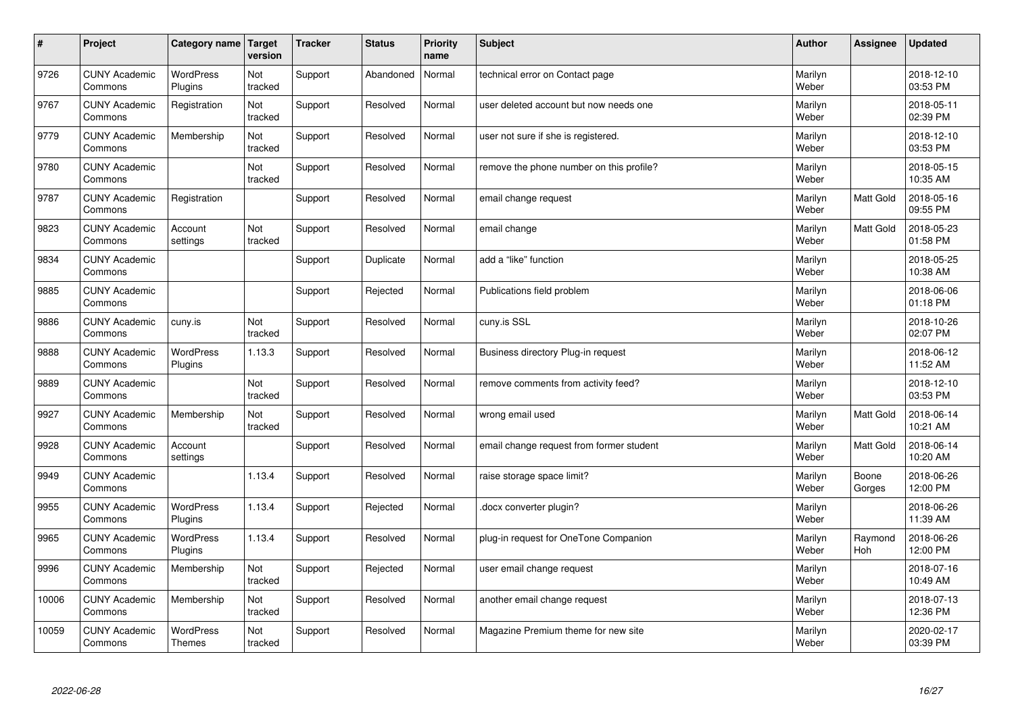| $\sharp$ | Project                         | Category name   Target            | version        | <b>Tracker</b> | <b>Status</b> | <b>Priority</b><br>name | <b>Subject</b>                           | <b>Author</b>    | Assignee              | Updated                |
|----------|---------------------------------|-----------------------------------|----------------|----------------|---------------|-------------------------|------------------------------------------|------------------|-----------------------|------------------------|
| 9726     | <b>CUNY Academic</b><br>Commons | <b>WordPress</b><br>Plugins       | Not<br>tracked | Support        | Abandoned     | Normal                  | technical error on Contact page          | Marilyn<br>Weber |                       | 2018-12-10<br>03:53 PM |
| 9767     | <b>CUNY Academic</b><br>Commons | Registration                      | Not<br>tracked | Support        | Resolved      | Normal                  | user deleted account but now needs one   | Marilyn<br>Weber |                       | 2018-05-11<br>02:39 PM |
| 9779     | <b>CUNY Academic</b><br>Commons | Membership                        | Not<br>tracked | Support        | Resolved      | Normal                  | user not sure if she is registered.      | Marilyn<br>Weber |                       | 2018-12-10<br>03:53 PM |
| 9780     | <b>CUNY Academic</b><br>Commons |                                   | Not<br>tracked | Support        | Resolved      | Normal                  | remove the phone number on this profile? | Marilyn<br>Weber |                       | 2018-05-15<br>10:35 AM |
| 9787     | <b>CUNY Academic</b><br>Commons | Registration                      |                | Support        | Resolved      | Normal                  | email change request                     | Marilyn<br>Weber | Matt Gold             | 2018-05-16<br>09:55 PM |
| 9823     | <b>CUNY Academic</b><br>Commons | Account<br>settings               | Not<br>tracked | Support        | Resolved      | Normal                  | email change                             | Marilyn<br>Weber | Matt Gold             | 2018-05-23<br>01:58 PM |
| 9834     | <b>CUNY Academic</b><br>Commons |                                   |                | Support        | Duplicate     | Normal                  | add a "like" function                    | Marilyn<br>Weber |                       | 2018-05-25<br>10:38 AM |
| 9885     | <b>CUNY Academic</b><br>Commons |                                   |                | Support        | Rejected      | Normal                  | Publications field problem               | Marilyn<br>Weber |                       | 2018-06-06<br>01:18 PM |
| 9886     | <b>CUNY Academic</b><br>Commons | cuny.is                           | Not<br>tracked | Support        | Resolved      | Normal                  | cuny.is SSL                              | Marilyn<br>Weber |                       | 2018-10-26<br>02:07 PM |
| 9888     | <b>CUNY Academic</b><br>Commons | WordPress<br>Plugins              | 1.13.3         | Support        | Resolved      | Normal                  | Business directory Plug-in request       | Marilyn<br>Weber |                       | 2018-06-12<br>11:52 AM |
| 9889     | <b>CUNY Academic</b><br>Commons |                                   | Not<br>tracked | Support        | Resolved      | Normal                  | remove comments from activity feed?      | Marilyn<br>Weber |                       | 2018-12-10<br>03:53 PM |
| 9927     | <b>CUNY Academic</b><br>Commons | Membership                        | Not<br>tracked | Support        | Resolved      | Normal                  | wrong email used                         | Marilyn<br>Weber | <b>Matt Gold</b>      | 2018-06-14<br>10:21 AM |
| 9928     | <b>CUNY Academic</b><br>Commons | Account<br>settings               |                | Support        | Resolved      | Normal                  | email change request from former student | Marilyn<br>Weber | Matt Gold             | 2018-06-14<br>10:20 AM |
| 9949     | <b>CUNY Academic</b><br>Commons |                                   | 1.13.4         | Support        | Resolved      | Normal                  | raise storage space limit?               | Marilyn<br>Weber | Boone<br>Gorges       | 2018-06-26<br>12:00 PM |
| 9955     | <b>CUNY Academic</b><br>Commons | <b>WordPress</b><br>Plugins       | 1.13.4         | Support        | Rejected      | Normal                  | docx converter plugin?                   | Marilyn<br>Weber |                       | 2018-06-26<br>11:39 AM |
| 9965     | <b>CUNY Academic</b><br>Commons | <b>WordPress</b><br>Plugins       | 1.13.4         | Support        | Resolved      | Normal                  | plug-in request for OneTone Companion    | Marilyn<br>Weber | Raymond<br><b>Hoh</b> | 2018-06-26<br>12:00 PM |
| 9996     | <b>CUNY Academic</b><br>Commons | Membership                        | Not<br>tracked | Support        | Rejected      | Normal                  | user email change request                | Marilyn<br>Weber |                       | 2018-07-16<br>10:49 AM |
| 10006    | <b>CUNY Academic</b><br>Commons | Membership                        | Not<br>tracked | Support        | Resolved      | Normal                  | another email change request             | Marilyn<br>Weber |                       | 2018-07-13<br>12:36 PM |
| 10059    | <b>CUNY Academic</b><br>Commons | <b>WordPress</b><br><b>Themes</b> | Not<br>tracked | Support        | Resolved      | Normal                  | Magazine Premium theme for new site      | Marilyn<br>Weber |                       | 2020-02-17<br>03:39 PM |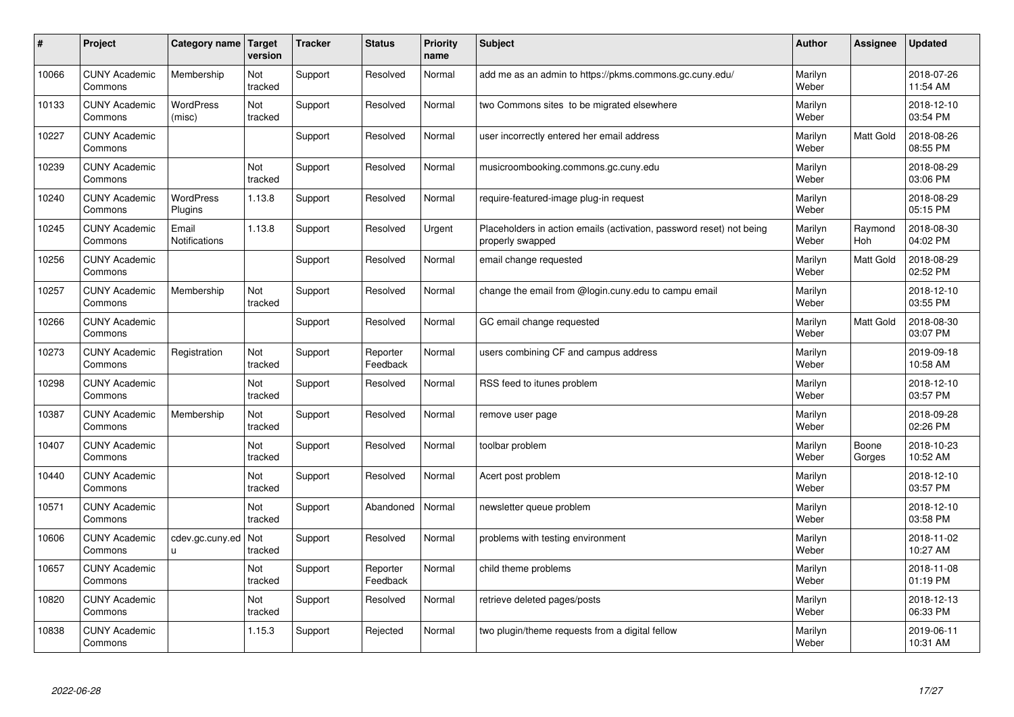| $\sharp$ | Project                         | Category name   Target      | version        | <b>Tracker</b> | <b>Status</b>        | <b>Priority</b><br>name | <b>Subject</b>                                                                           | <b>Author</b>    | Assignee         | <b>Updated</b>         |
|----------|---------------------------------|-----------------------------|----------------|----------------|----------------------|-------------------------|------------------------------------------------------------------------------------------|------------------|------------------|------------------------|
| 10066    | <b>CUNY Academic</b><br>Commons | Membership                  | Not<br>tracked | Support        | Resolved             | Normal                  | add me as an admin to https://pkms.commons.gc.cuny.edu/                                  | Marilyn<br>Weber |                  | 2018-07-26<br>11:54 AM |
| 10133    | <b>CUNY Academic</b><br>Commons | WordPress<br>(misc)         | Not<br>tracked | Support        | Resolved             | Normal                  | two Commons sites to be migrated elsewhere                                               | Marilyn<br>Weber |                  | 2018-12-10<br>03:54 PM |
| 10227    | <b>CUNY Academic</b><br>Commons |                             |                | Support        | Resolved             | Normal                  | user incorrectly entered her email address                                               | Marilyn<br>Weber | Matt Gold        | 2018-08-26<br>08:55 PM |
| 10239    | <b>CUNY Academic</b><br>Commons |                             | Not<br>tracked | Support        | Resolved             | Normal                  | musicroombooking.commons.gc.cuny.edu                                                     | Marilyn<br>Weber |                  | 2018-08-29<br>03:06 PM |
| 10240    | <b>CUNY Academic</b><br>Commons | <b>WordPress</b><br>Plugins | 1.13.8         | Support        | Resolved             | Normal                  | require-featured-image plug-in request                                                   | Marilyn<br>Weber |                  | 2018-08-29<br>05:15 PM |
| 10245    | <b>CUNY Academic</b><br>Commons | Email<br>Notifications      | 1.13.8         | Support        | Resolved             | Urgent                  | Placeholders in action emails (activation, password reset) not being<br>properly swapped | Marilyn<br>Weber | Raymond<br>Hoh   | 2018-08-30<br>04:02 PM |
| 10256    | <b>CUNY Academic</b><br>Commons |                             |                | Support        | Resolved             | Normal                  | email change requested                                                                   | Marilyn<br>Weber | <b>Matt Gold</b> | 2018-08-29<br>02:52 PM |
| 10257    | <b>CUNY Academic</b><br>Commons | Membership                  | Not<br>tracked | Support        | Resolved             | Normal                  | change the email from @login.cuny.edu to campu email                                     | Marilyn<br>Weber |                  | 2018-12-10<br>03:55 PM |
| 10266    | <b>CUNY Academic</b><br>Commons |                             |                | Support        | Resolved             | Normal                  | GC email change requested                                                                | Marilyn<br>Weber | <b>Matt Gold</b> | 2018-08-30<br>03:07 PM |
| 10273    | <b>CUNY Academic</b><br>Commons | Registration                | Not<br>tracked | Support        | Reporter<br>Feedback | Normal                  | users combining CF and campus address                                                    | Marilyn<br>Weber |                  | 2019-09-18<br>10:58 AM |
| 10298    | <b>CUNY Academic</b><br>Commons |                             | Not<br>tracked | Support        | Resolved             | Normal                  | RSS feed to itunes problem                                                               | Marilyn<br>Weber |                  | 2018-12-10<br>03:57 PM |
| 10387    | <b>CUNY Academic</b><br>Commons | Membership                  | Not<br>tracked | Support        | Resolved             | Normal                  | remove user page                                                                         | Marilyn<br>Weber |                  | 2018-09-28<br>02:26 PM |
| 10407    | <b>CUNY Academic</b><br>Commons |                             | Not<br>tracked | Support        | Resolved             | Normal                  | toolbar problem                                                                          | Marilyn<br>Weber | Boone<br>Gorges  | 2018-10-23<br>10:52 AM |
| 10440    | <b>CUNY Academic</b><br>Commons |                             | Not<br>tracked | Support        | Resolved             | Normal                  | Acert post problem                                                                       | Marilyn<br>Weber |                  | 2018-12-10<br>03:57 PM |
| 10571    | <b>CUNY Academic</b><br>Commons |                             | Not<br>tracked | Support        | Abandoned            | Normal                  | newsletter queue problem                                                                 | Marilyn<br>Weber |                  | 2018-12-10<br>03:58 PM |
| 10606    | <b>CUNY Academic</b><br>Commons | cdev.gc.cuny.ed<br>u.       | Not<br>tracked | Support        | Resolved             | Normal                  | problems with testing environment                                                        | Marilyn<br>Weber |                  | 2018-11-02<br>10:27 AM |
| 10657    | <b>CUNY Academic</b><br>Commons |                             | Not<br>tracked | Support        | Reporter<br>Feedback | Normal                  | child theme problems                                                                     | Marilyn<br>Weber |                  | 2018-11-08<br>01:19 PM |
| 10820    | <b>CUNY Academic</b><br>Commons |                             | Not<br>tracked | Support        | Resolved             | Normal                  | retrieve deleted pages/posts                                                             | Marilyn<br>Weber |                  | 2018-12-13<br>06:33 PM |
| 10838    | <b>CUNY Academic</b><br>Commons |                             | 1.15.3         | Support        | Rejected             | Normal                  | two plugin/theme requests from a digital fellow                                          | Marilyn<br>Weber |                  | 2019-06-11<br>10:31 AM |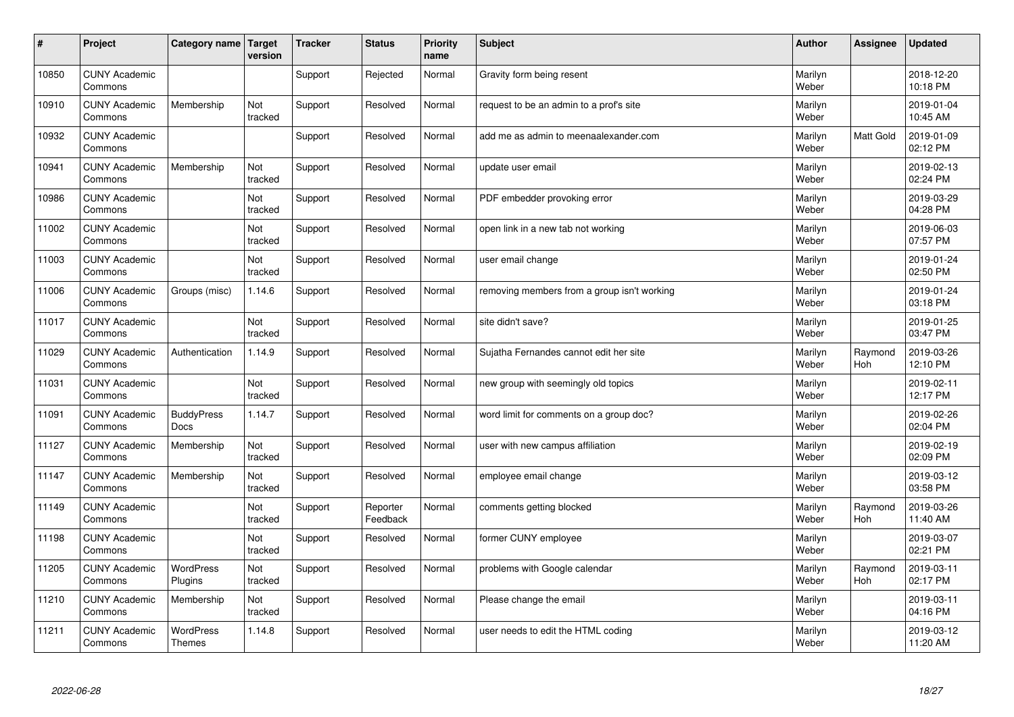| #     | Project                         | Category name   Target            | version        | <b>Tracker</b> | <b>Status</b>        | <b>Priority</b><br>name | <b>Subject</b>                              | <b>Author</b>    | Assignee              | <b>Updated</b>         |
|-------|---------------------------------|-----------------------------------|----------------|----------------|----------------------|-------------------------|---------------------------------------------|------------------|-----------------------|------------------------|
| 10850 | <b>CUNY Academic</b><br>Commons |                                   |                | Support        | Rejected             | Normal                  | Gravity form being resent                   | Marilyn<br>Weber |                       | 2018-12-20<br>10:18 PM |
| 10910 | <b>CUNY Academic</b><br>Commons | Membership                        | Not<br>tracked | Support        | Resolved             | Normal                  | request to be an admin to a prof's site     | Marilyn<br>Weber |                       | 2019-01-04<br>10:45 AM |
| 10932 | <b>CUNY Academic</b><br>Commons |                                   |                | Support        | Resolved             | Normal                  | add me as admin to meenaalexander.com       | Marilyn<br>Weber | Matt Gold             | 2019-01-09<br>02:12 PM |
| 10941 | <b>CUNY Academic</b><br>Commons | Membership                        | Not<br>tracked | Support        | Resolved             | Normal                  | update user email                           | Marilyn<br>Weber |                       | 2019-02-13<br>02:24 PM |
| 10986 | <b>CUNY Academic</b><br>Commons |                                   | Not<br>tracked | Support        | Resolved             | Normal                  | PDF embedder provoking error                | Marilyn<br>Weber |                       | 2019-03-29<br>04:28 PM |
| 11002 | <b>CUNY Academic</b><br>Commons |                                   | Not<br>tracked | Support        | Resolved             | Normal                  | open link in a new tab not working          | Marilyn<br>Weber |                       | 2019-06-03<br>07:57 PM |
| 11003 | <b>CUNY Academic</b><br>Commons |                                   | Not<br>tracked | Support        | Resolved             | Normal                  | user email change                           | Marilyn<br>Weber |                       | 2019-01-24<br>02:50 PM |
| 11006 | <b>CUNY Academic</b><br>Commons | Groups (misc)                     | 1.14.6         | Support        | Resolved             | Normal                  | removing members from a group isn't working | Marilyn<br>Weber |                       | 2019-01-24<br>03:18 PM |
| 11017 | <b>CUNY Academic</b><br>Commons |                                   | Not<br>tracked | Support        | Resolved             | Normal                  | site didn't save?                           | Marilyn<br>Weber |                       | 2019-01-25<br>03:47 PM |
| 11029 | <b>CUNY Academic</b><br>Commons | Authentication                    | 1.14.9         | Support        | Resolved             | Normal                  | Sujatha Fernandes cannot edit her site      | Marilyn<br>Weber | Raymond<br><b>Hoh</b> | 2019-03-26<br>12:10 PM |
| 11031 | <b>CUNY Academic</b><br>Commons |                                   | Not<br>tracked | Support        | Resolved             | Normal                  | new group with seemingly old topics         | Marilyn<br>Weber |                       | 2019-02-11<br>12:17 PM |
| 11091 | <b>CUNY Academic</b><br>Commons | <b>BuddyPress</b><br><b>Docs</b>  | 1.14.7         | Support        | Resolved             | Normal                  | word limit for comments on a group doc?     | Marilyn<br>Weber |                       | 2019-02-26<br>02:04 PM |
| 11127 | <b>CUNY Academic</b><br>Commons | Membership                        | Not<br>tracked | Support        | Resolved             | Normal                  | user with new campus affiliation            | Marilyn<br>Weber |                       | 2019-02-19<br>02:09 PM |
| 11147 | <b>CUNY Academic</b><br>Commons | Membership                        | Not<br>tracked | Support        | Resolved             | Normal                  | employee email change                       | Marilyn<br>Weber |                       | 2019-03-12<br>03:58 PM |
| 11149 | <b>CUNY Academic</b><br>Commons |                                   | Not<br>tracked | Support        | Reporter<br>Feedback | Normal                  | comments getting blocked                    | Marilyn<br>Weber | Raymond<br><b>Hoh</b> | 2019-03-26<br>11:40 AM |
| 11198 | <b>CUNY Academic</b><br>Commons |                                   | Not<br>tracked | Support        | Resolved             | Normal                  | former CUNY employee                        | Marilyn<br>Weber |                       | 2019-03-07<br>02:21 PM |
| 11205 | <b>CUNY Academic</b><br>Commons | <b>WordPress</b><br>Plugins       | Not<br>tracked | Support        | Resolved             | Normal                  | problems with Google calendar               | Marilyn<br>Weber | Raymond<br>Hoh        | 2019-03-11<br>02:17 PM |
| 11210 | <b>CUNY Academic</b><br>Commons | Membership                        | Not<br>tracked | Support        | Resolved             | Normal                  | Please change the email                     | Marilyn<br>Weber |                       | 2019-03-11<br>04:16 PM |
| 11211 | <b>CUNY Academic</b><br>Commons | <b>WordPress</b><br><b>Themes</b> | 1.14.8         | Support        | Resolved             | Normal                  | user needs to edit the HTML coding          | Marilyn<br>Weber |                       | 2019-03-12<br>11:20 AM |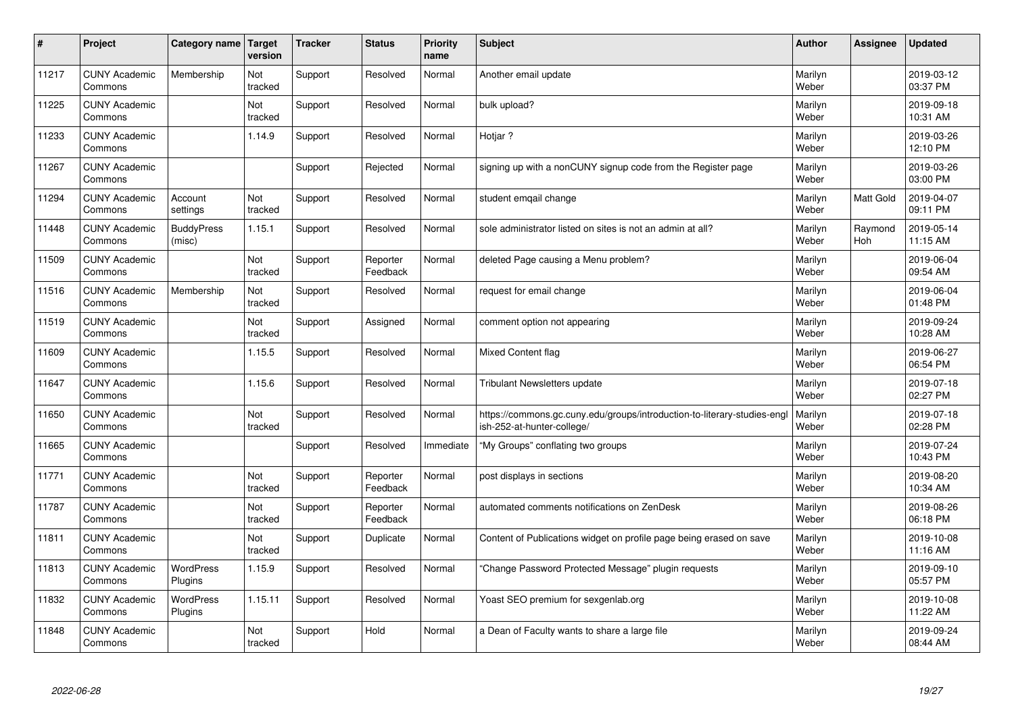| $\vert$ # | Project                         | Category name               | Target<br>version | <b>Tracker</b> | <b>Status</b>        | <b>Priority</b><br>name | <b>Subject</b>                                                                                         | <b>Author</b>    | Assignee       | <b>Updated</b>         |
|-----------|---------------------------------|-----------------------------|-------------------|----------------|----------------------|-------------------------|--------------------------------------------------------------------------------------------------------|------------------|----------------|------------------------|
| 11217     | <b>CUNY Academic</b><br>Commons | Membership                  | Not<br>tracked    | Support        | Resolved             | Normal                  | Another email update                                                                                   | Marilyn<br>Weber |                | 2019-03-12<br>03:37 PM |
| 11225     | <b>CUNY Academic</b><br>Commons |                             | Not<br>tracked    | Support        | Resolved             | Normal                  | bulk upload?                                                                                           | Marilyn<br>Weber |                | 2019-09-18<br>10:31 AM |
| 11233     | <b>CUNY Academic</b><br>Commons |                             | 1.14.9            | Support        | Resolved             | Normal                  | Hotjar?                                                                                                | Marilyn<br>Weber |                | 2019-03-26<br>12:10 PM |
| 11267     | <b>CUNY Academic</b><br>Commons |                             |                   | Support        | Rejected             | Normal                  | signing up with a nonCUNY signup code from the Register page                                           | Marilyn<br>Weber |                | 2019-03-26<br>03:00 PM |
| 11294     | <b>CUNY Academic</b><br>Commons | Account<br>settings         | Not<br>tracked    | Support        | Resolved             | Normal                  | student emgail change                                                                                  | Marilyn<br>Weber | Matt Gold      | 2019-04-07<br>09:11 PM |
| 11448     | <b>CUNY Academic</b><br>Commons | <b>BuddyPress</b><br>(misc) | 1.15.1            | Support        | Resolved             | Normal                  | sole administrator listed on sites is not an admin at all?                                             | Marilyn<br>Weber | Raymond<br>Hoh | 2019-05-14<br>11:15 AM |
| 11509     | <b>CUNY Academic</b><br>Commons |                             | Not<br>tracked    | Support        | Reporter<br>Feedback | Normal                  | deleted Page causing a Menu problem?                                                                   | Marilyn<br>Weber |                | 2019-06-04<br>09:54 AM |
| 11516     | <b>CUNY Academic</b><br>Commons | Membership                  | Not<br>tracked    | Support        | Resolved             | Normal                  | request for email change                                                                               | Marilyn<br>Weber |                | 2019-06-04<br>01:48 PM |
| 11519     | <b>CUNY Academic</b><br>Commons |                             | Not<br>tracked    | Support        | Assigned             | Normal                  | comment option not appearing                                                                           | Marilyn<br>Weber |                | 2019-09-24<br>10:28 AM |
| 11609     | <b>CUNY Academic</b><br>Commons |                             | 1.15.5            | Support        | Resolved             | Normal                  | Mixed Content flag                                                                                     | Marilyn<br>Weber |                | 2019-06-27<br>06:54 PM |
| 11647     | <b>CUNY Academic</b><br>Commons |                             | 1.15.6            | Support        | Resolved             | Normal                  | Tribulant Newsletters update                                                                           | Marilyn<br>Weber |                | 2019-07-18<br>02:27 PM |
| 11650     | <b>CUNY Academic</b><br>Commons |                             | Not<br>tracked    | Support        | Resolved             | Normal                  | https://commons.gc.cuny.edu/groups/introduction-to-literary-studies-engl<br>ish-252-at-hunter-college/ | Marilyn<br>Weber |                | 2019-07-18<br>02:28 PM |
| 11665     | <b>CUNY Academic</b><br>Commons |                             |                   | Support        | Resolved             | Immediate               | "My Groups" conflating two groups                                                                      | Marilyn<br>Weber |                | 2019-07-24<br>10:43 PM |
| 11771     | <b>CUNY Academic</b><br>Commons |                             | Not<br>tracked    | Support        | Reporter<br>Feedback | Normal                  | post displays in sections                                                                              | Marilyn<br>Weber |                | 2019-08-20<br>10:34 AM |
| 11787     | <b>CUNY Academic</b><br>Commons |                             | Not<br>tracked    | Support        | Reporter<br>Feedback | Normal                  | automated comments notifications on ZenDesk                                                            | Marilyn<br>Weber |                | 2019-08-26<br>06:18 PM |
| 11811     | <b>CUNY Academic</b><br>Commons |                             | Not<br>tracked    | Support        | Duplicate            | Normal                  | Content of Publications widget on profile page being erased on save                                    | Marilyn<br>Weber |                | 2019-10-08<br>11:16 AM |
| 11813     | <b>CUNY Academic</b><br>Commons | <b>WordPress</b><br>Plugins | 1.15.9            | Support        | Resolved             | Normal                  | 'Change Password Protected Message" plugin requests                                                    | Marilyn<br>Weber |                | 2019-09-10<br>05:57 PM |
| 11832     | <b>CUNY Academic</b><br>Commons | <b>WordPress</b><br>Plugins | 1.15.11           | Support        | Resolved             | Normal                  | Yoast SEO premium for sexgenlab.org                                                                    | Marilyn<br>Weber |                | 2019-10-08<br>11:22 AM |
| 11848     | <b>CUNY Academic</b><br>Commons |                             | Not<br>tracked    | Support        | Hold                 | Normal                  | a Dean of Faculty wants to share a large file                                                          | Marilyn<br>Weber |                | 2019-09-24<br>08:44 AM |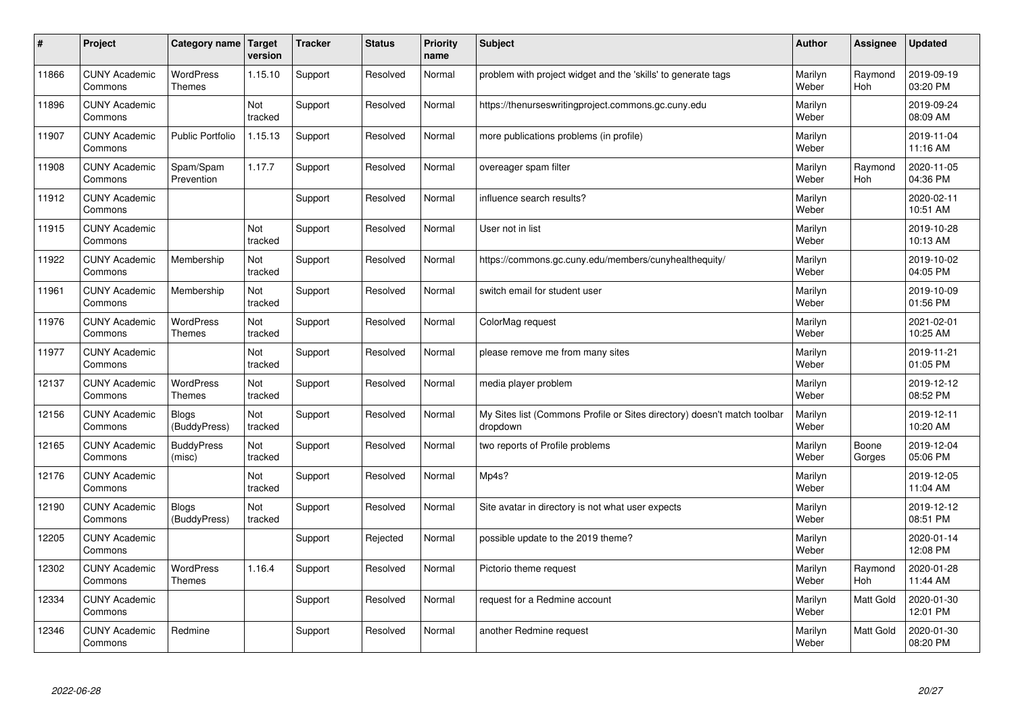| $\sharp$ | Project                         | Category name                     | Target<br>version | <b>Tracker</b> | <b>Status</b> | <b>Priority</b><br>name | <b>Subject</b>                                                                       | <b>Author</b>    | Assignee              | Updated                |
|----------|---------------------------------|-----------------------------------|-------------------|----------------|---------------|-------------------------|--------------------------------------------------------------------------------------|------------------|-----------------------|------------------------|
| 11866    | <b>CUNY Academic</b><br>Commons | <b>WordPress</b><br><b>Themes</b> | 1.15.10           | Support        | Resolved      | Normal                  | problem with project widget and the 'skills' to generate tags                        | Marilyn<br>Weber | Raymond<br><b>Hoh</b> | 2019-09-19<br>03:20 PM |
| 11896    | <b>CUNY Academic</b><br>Commons |                                   | Not<br>tracked    | Support        | Resolved      | Normal                  | https://thenurseswritingproject.commons.gc.cuny.edu                                  | Marilyn<br>Weber |                       | 2019-09-24<br>08:09 AM |
| 11907    | <b>CUNY Academic</b><br>Commons | <b>Public Portfolio</b>           | 1.15.13           | Support        | Resolved      | Normal                  | more publications problems (in profile)                                              | Marilyn<br>Weber |                       | 2019-11-04<br>11:16 AM |
| 11908    | <b>CUNY Academic</b><br>Commons | Spam/Spam<br>Prevention           | 1.17.7            | Support        | Resolved      | Normal                  | overeager spam filter                                                                | Marilyn<br>Weber | Raymond<br><b>Hoh</b> | 2020-11-05<br>04:36 PM |
| 11912    | <b>CUNY Academic</b><br>Commons |                                   |                   | Support        | Resolved      | Normal                  | influence search results?                                                            | Marilyn<br>Weber |                       | 2020-02-11<br>10:51 AM |
| 11915    | <b>CUNY Academic</b><br>Commons |                                   | Not<br>tracked    | Support        | Resolved      | Normal                  | User not in list                                                                     | Marilyn<br>Weber |                       | 2019-10-28<br>10:13 AM |
| 11922    | <b>CUNY Academic</b><br>Commons | Membership                        | Not<br>tracked    | Support        | Resolved      | Normal                  | https://commons.gc.cuny.edu/members/cunyhealthequity/                                | Marilyn<br>Weber |                       | 2019-10-02<br>04:05 PM |
| 11961    | <b>CUNY Academic</b><br>Commons | Membership                        | Not<br>tracked    | Support        | Resolved      | Normal                  | switch email for student user                                                        | Marilyn<br>Weber |                       | 2019-10-09<br>01:56 PM |
| 11976    | <b>CUNY Academic</b><br>Commons | <b>WordPress</b><br><b>Themes</b> | Not<br>tracked    | Support        | Resolved      | Normal                  | ColorMag request                                                                     | Marilyn<br>Weber |                       | 2021-02-01<br>10:25 AM |
| 11977    | <b>CUNY Academic</b><br>Commons |                                   | Not<br>tracked    | Support        | Resolved      | Normal                  | please remove me from many sites                                                     | Marilyn<br>Weber |                       | 2019-11-21<br>01:05 PM |
| 12137    | <b>CUNY Academic</b><br>Commons | <b>WordPress</b><br><b>Themes</b> | Not<br>tracked    | Support        | Resolved      | Normal                  | media player problem                                                                 | Marilyn<br>Weber |                       | 2019-12-12<br>08:52 PM |
| 12156    | <b>CUNY Academic</b><br>Commons | <b>Blogs</b><br>(BuddyPress)      | Not<br>tracked    | Support        | Resolved      | Normal                  | My Sites list (Commons Profile or Sites directory) doesn't match toolbar<br>dropdown | Marilyn<br>Weber |                       | 2019-12-11<br>10:20 AM |
| 12165    | <b>CUNY Academic</b><br>Commons | <b>BuddyPress</b><br>(misc)       | Not<br>tracked    | Support        | Resolved      | Normal                  | two reports of Profile problems                                                      | Marilyn<br>Weber | Boone<br>Gorges       | 2019-12-04<br>05:06 PM |
| 12176    | <b>CUNY Academic</b><br>Commons |                                   | Not<br>tracked    | Support        | Resolved      | Normal                  | Mp4s?                                                                                | Marilyn<br>Weber |                       | 2019-12-05<br>11:04 AM |
| 12190    | <b>CUNY Academic</b><br>Commons | <b>Blogs</b><br>(BuddyPress)      | Not<br>tracked    | Support        | Resolved      | Normal                  | Site avatar in directory is not what user expects                                    | Marilyn<br>Weber |                       | 2019-12-12<br>08:51 PM |
| 12205    | <b>CUNY Academic</b><br>Commons |                                   |                   | Support        | Rejected      | Normal                  | possible update to the 2019 theme?                                                   | Marilyn<br>Weber |                       | 2020-01-14<br>12:08 PM |
| 12302    | <b>CUNY Academic</b><br>Commons | WordPress<br>Themes               | 1.16.4            | Support        | Resolved      | Normal                  | Pictorio theme request                                                               | Marilyn<br>Weber | Raymond<br>Hoh        | 2020-01-28<br>11:44 AM |
| 12334    | <b>CUNY Academic</b><br>Commons |                                   |                   | Support        | Resolved      | Normal                  | request for a Redmine account                                                        | Marilyn<br>Weber | Matt Gold             | 2020-01-30<br>12:01 PM |
| 12346    | <b>CUNY Academic</b><br>Commons | Redmine                           |                   | Support        | Resolved      | Normal                  | another Redmine request                                                              | Marilyn<br>Weber | <b>Matt Gold</b>      | 2020-01-30<br>08:20 PM |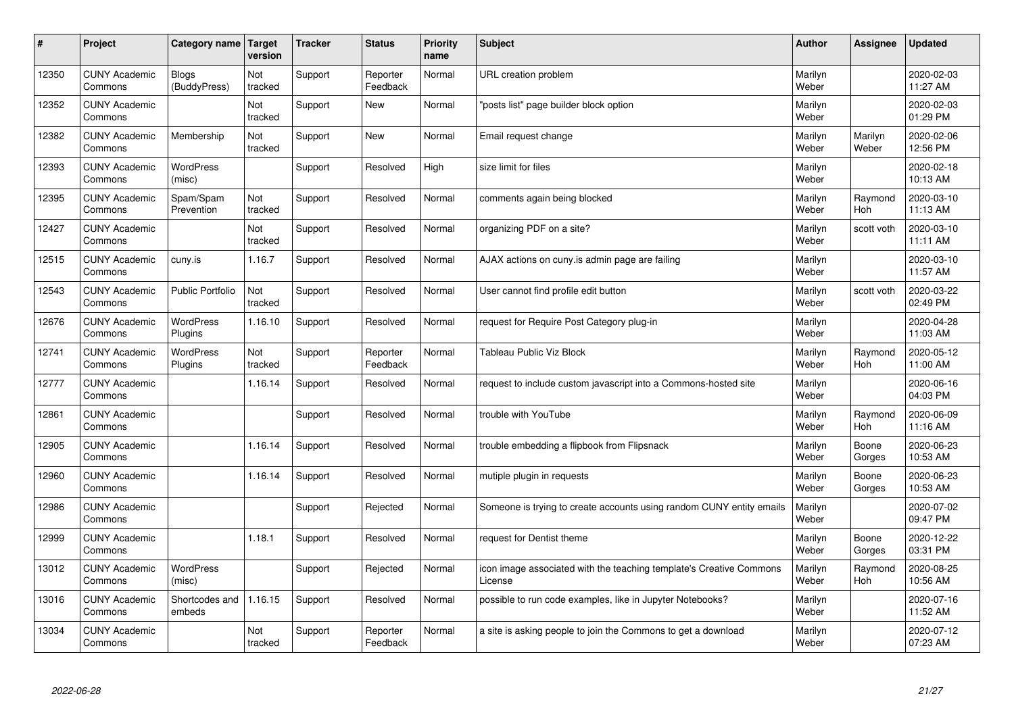| #     | Project                         | Category name   Target     | version        | <b>Tracker</b> | <b>Status</b>        | <b>Priority</b><br>name | <b>Subject</b>                                                                 | <b>Author</b>    | Assignee              | <b>Updated</b>         |
|-------|---------------------------------|----------------------------|----------------|----------------|----------------------|-------------------------|--------------------------------------------------------------------------------|------------------|-----------------------|------------------------|
| 12350 | <b>CUNY Academic</b><br>Commons | Blogs<br>(BuddyPress)      | Not<br>tracked | Support        | Reporter<br>Feedback | Normal                  | URL creation problem                                                           | Marilyn<br>Weber |                       | 2020-02-03<br>11:27 AM |
| 12352 | <b>CUNY Academic</b><br>Commons |                            | Not<br>tracked | Support        | <b>New</b>           | Normal                  | 'posts list" page builder block option                                         | Marilyn<br>Weber |                       | 2020-02-03<br>01:29 PM |
| 12382 | <b>CUNY Academic</b><br>Commons | Membership                 | Not<br>tracked | Support        | <b>New</b>           | Normal                  | Email request change                                                           | Marilyn<br>Weber | Marilyn<br>Weber      | 2020-02-06<br>12:56 PM |
| 12393 | <b>CUNY Academic</b><br>Commons | <b>WordPress</b><br>(misc) |                | Support        | Resolved             | High                    | size limit for files                                                           | Marilyn<br>Weber |                       | 2020-02-18<br>10:13 AM |
| 12395 | <b>CUNY Academic</b><br>Commons | Spam/Spam<br>Prevention    | Not<br>tracked | Support        | Resolved             | Normal                  | comments again being blocked                                                   | Marilyn<br>Weber | Raymond<br>Hoh        | 2020-03-10<br>11:13 AM |
| 12427 | <b>CUNY Academic</b><br>Commons |                            | Not<br>tracked | Support        | Resolved             | Normal                  | organizing PDF on a site?                                                      | Marilyn<br>Weber | scott voth            | 2020-03-10<br>11:11 AM |
| 12515 | <b>CUNY Academic</b><br>Commons | cuny.is                    | 1.16.7         | Support        | Resolved             | Normal                  | AJAX actions on cuny is admin page are failing                                 | Marilyn<br>Weber |                       | 2020-03-10<br>11:57 AM |
| 12543 | <b>CUNY Academic</b><br>Commons | <b>Public Portfolio</b>    | Not<br>tracked | Support        | Resolved             | Normal                  | User cannot find profile edit button                                           | Marilyn<br>Weber | scott voth            | 2020-03-22<br>02:49 PM |
| 12676 | <b>CUNY Academic</b><br>Commons | WordPress<br>Plugins       | 1.16.10        | Support        | Resolved             | Normal                  | request for Require Post Category plug-in                                      | Marilyn<br>Weber |                       | 2020-04-28<br>11:03 AM |
| 12741 | <b>CUNY Academic</b><br>Commons | WordPress<br>Plugins       | Not<br>tracked | Support        | Reporter<br>Feedback | Normal                  | Tableau Public Viz Block                                                       | Marilyn<br>Weber | Raymond<br><b>Hoh</b> | 2020-05-12<br>11:00 AM |
| 12777 | <b>CUNY Academic</b><br>Commons |                            | 1.16.14        | Support        | Resolved             | Normal                  | request to include custom javascript into a Commons-hosted site                | Marilyn<br>Weber |                       | 2020-06-16<br>04:03 PM |
| 12861 | <b>CUNY Academic</b><br>Commons |                            |                | Support        | Resolved             | Normal                  | trouble with YouTube                                                           | Marilyn<br>Weber | Raymond<br><b>Hoh</b> | 2020-06-09<br>11:16 AM |
| 12905 | <b>CUNY Academic</b><br>Commons |                            | 1.16.14        | Support        | Resolved             | Normal                  | trouble embedding a flipbook from Flipsnack                                    | Marilyn<br>Weber | Boone<br>Gorges       | 2020-06-23<br>10:53 AM |
| 12960 | <b>CUNY Academic</b><br>Commons |                            | 1.16.14        | Support        | Resolved             | Normal                  | mutiple plugin in requests                                                     | Marilyn<br>Weber | Boone<br>Gorges       | 2020-06-23<br>10:53 AM |
| 12986 | <b>CUNY Academic</b><br>Commons |                            |                | Support        | Rejected             | Normal                  | Someone is trying to create accounts using random CUNY entity emails           | Marilyn<br>Weber |                       | 2020-07-02<br>09:47 PM |
| 12999 | <b>CUNY Academic</b><br>Commons |                            | 1.18.1         | Support        | Resolved             | Normal                  | request for Dentist theme                                                      | Marilyn<br>Weber | Boone<br>Gorges       | 2020-12-22<br>03:31 PM |
| 13012 | <b>CUNY Academic</b><br>Commons | WordPress<br>(misc)        |                | Support        | Rejected             | Normal                  | icon image associated with the teaching template's Creative Commons<br>License | Marilyn<br>Weber | Raymond<br><b>Hoh</b> | 2020-08-25<br>10:56 AM |
| 13016 | <b>CUNY Academic</b><br>Commons | Shortcodes and<br>embeds   | 1.16.15        | Support        | Resolved             | Normal                  | possible to run code examples, like in Jupyter Notebooks?                      | Marilyn<br>Weber |                       | 2020-07-16<br>11:52 AM |
| 13034 | <b>CUNY Academic</b><br>Commons |                            | Not<br>tracked | Support        | Reporter<br>Feedback | Normal                  | a site is asking people to join the Commons to get a download                  | Marilyn<br>Weber |                       | 2020-07-12<br>07:23 AM |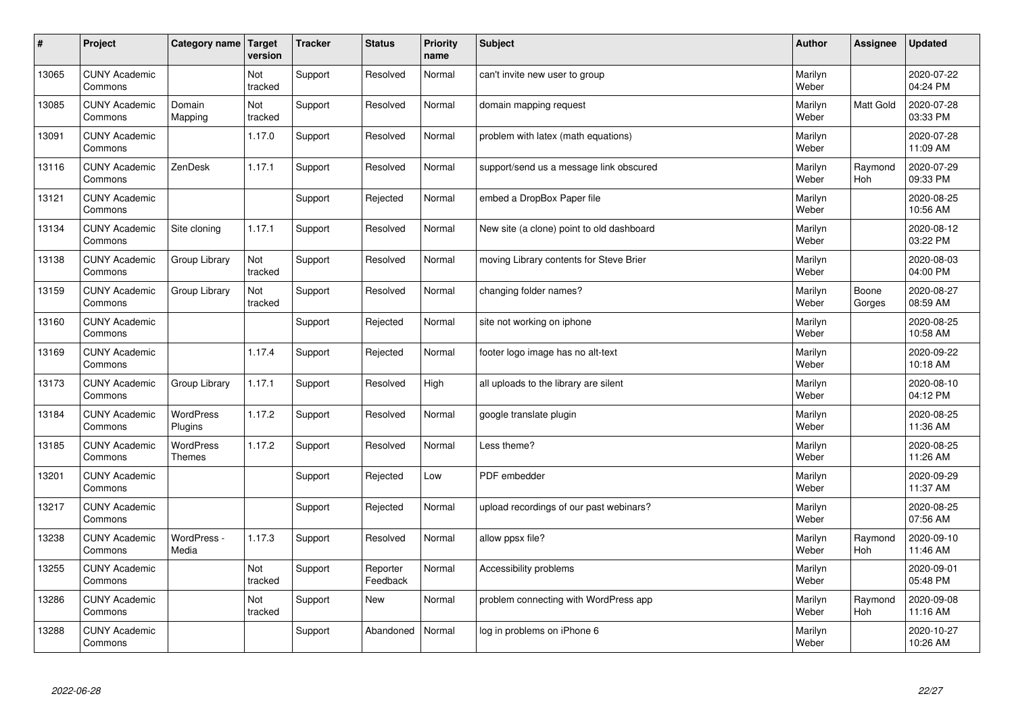| #     | Project                         | Category name   Target            | version        | <b>Tracker</b> | <b>Status</b>        | <b>Priority</b><br>name | <b>Subject</b>                            | <b>Author</b>    | Assignee        | <b>Updated</b>         |
|-------|---------------------------------|-----------------------------------|----------------|----------------|----------------------|-------------------------|-------------------------------------------|------------------|-----------------|------------------------|
| 13065 | <b>CUNY Academic</b><br>Commons |                                   | Not<br>tracked | Support        | Resolved             | Normal                  | can't invite new user to group            | Marilyn<br>Weber |                 | 2020-07-22<br>04:24 PM |
| 13085 | <b>CUNY Academic</b><br>Commons | Domain<br>Mapping                 | Not<br>tracked | Support        | Resolved             | Normal                  | domain mapping request                    | Marilyn<br>Weber | Matt Gold       | 2020-07-28<br>03:33 PM |
| 13091 | <b>CUNY Academic</b><br>Commons |                                   | 1.17.0         | Support        | Resolved             | Normal                  | problem with latex (math equations)       | Marilyn<br>Weber |                 | 2020-07-28<br>11:09 AM |
| 13116 | <b>CUNY Academic</b><br>Commons | ZenDesk                           | 1.17.1         | Support        | Resolved             | Normal                  | support/send us a message link obscured   | Marilyn<br>Weber | Raymond<br>Hoh  | 2020-07-29<br>09:33 PM |
| 13121 | <b>CUNY Academic</b><br>Commons |                                   |                | Support        | Rejected             | Normal                  | embed a DropBox Paper file                | Marilyn<br>Weber |                 | 2020-08-25<br>10:56 AM |
| 13134 | <b>CUNY Academic</b><br>Commons | Site cloning                      | 1.17.1         | Support        | Resolved             | Normal                  | New site (a clone) point to old dashboard | Marilyn<br>Weber |                 | 2020-08-12<br>03:22 PM |
| 13138 | <b>CUNY Academic</b><br>Commons | Group Library                     | Not<br>tracked | Support        | Resolved             | Normal                  | moving Library contents for Steve Brier   | Marilyn<br>Weber |                 | 2020-08-03<br>04:00 PM |
| 13159 | <b>CUNY Academic</b><br>Commons | Group Library                     | Not<br>tracked | Support        | Resolved             | Normal                  | changing folder names?                    | Marilyn<br>Weber | Boone<br>Gorges | 2020-08-27<br>08:59 AM |
| 13160 | <b>CUNY Academic</b><br>Commons |                                   |                | Support        | Rejected             | Normal                  | site not working on iphone                | Marilyn<br>Weber |                 | 2020-08-25<br>10:58 AM |
| 13169 | <b>CUNY Academic</b><br>Commons |                                   | 1.17.4         | Support        | Rejected             | Normal                  | footer logo image has no alt-text         | Marilyn<br>Weber |                 | 2020-09-22<br>10:18 AM |
| 13173 | <b>CUNY Academic</b><br>Commons | Group Library                     | 1.17.1         | Support        | Resolved             | High                    | all uploads to the library are silent     | Marilyn<br>Weber |                 | 2020-08-10<br>04:12 PM |
| 13184 | <b>CUNY Academic</b><br>Commons | WordPress<br>Plugins              | 1.17.2         | Support        | Resolved             | Normal                  | google translate plugin                   | Marilyn<br>Weber |                 | 2020-08-25<br>11:36 AM |
| 13185 | <b>CUNY Academic</b><br>Commons | <b>WordPress</b><br><b>Themes</b> | 1.17.2         | Support        | Resolved             | Normal                  | Less theme?                               | Marilyn<br>Weber |                 | 2020-08-25<br>11:26 AM |
| 13201 | <b>CUNY Academic</b><br>Commons |                                   |                | Support        | Rejected             | Low                     | PDF embedder                              | Marilyn<br>Weber |                 | 2020-09-29<br>11:37 AM |
| 13217 | <b>CUNY Academic</b><br>Commons |                                   |                | Support        | Rejected             | Normal                  | upload recordings of our past webinars?   | Marilyn<br>Weber |                 | 2020-08-25<br>07:56 AM |
| 13238 | <b>CUNY Academic</b><br>Commons | WordPress -<br>Media              | 1.17.3         | Support        | Resolved             | Normal                  | allow ppsx file?                          | Marilyn<br>Weber | Raymond<br>Hoh  | 2020-09-10<br>11:46 AM |
| 13255 | <b>CUNY Academic</b><br>Commons |                                   | Not<br>tracked | Support        | Reporter<br>Feedback | Normal                  | Accessibility problems                    | Marilyn<br>Weber |                 | 2020-09-01<br>05:48 PM |
| 13286 | <b>CUNY Academic</b><br>Commons |                                   | Not<br>tracked | Support        | New                  | Normal                  | problem connecting with WordPress app     | Marilyn<br>Weber | Raymond<br>Hoh  | 2020-09-08<br>11:16 AM |
| 13288 | <b>CUNY Academic</b><br>Commons |                                   |                | Support        | Abandoned            | Normal                  | log in problems on iPhone 6               | Marilyn<br>Weber |                 | 2020-10-27<br>10:26 AM |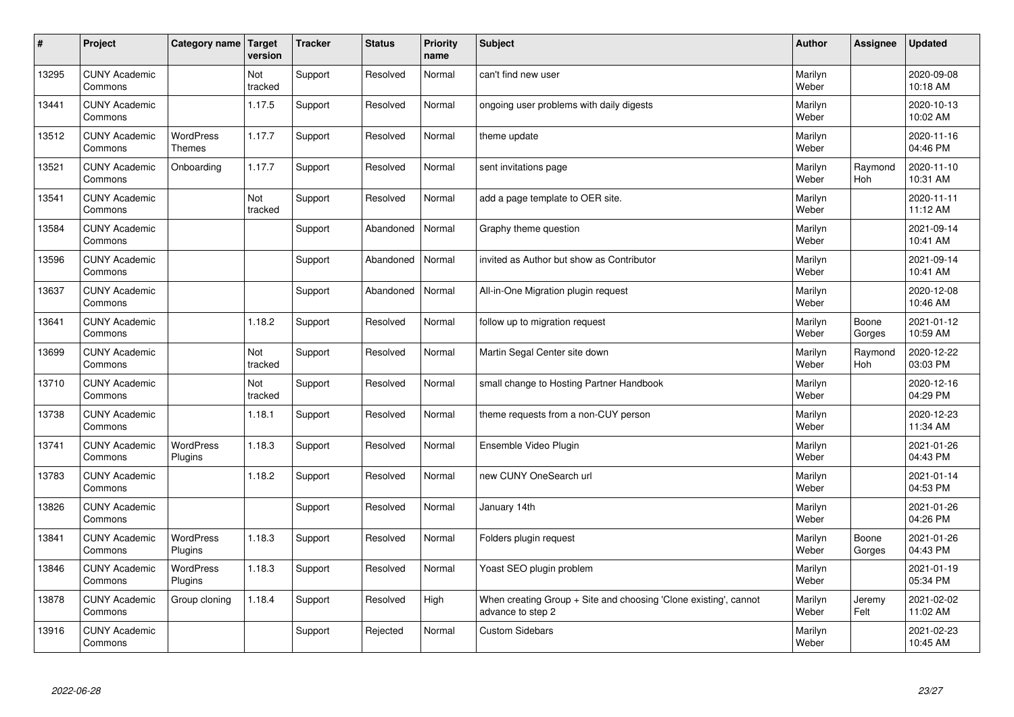| $\sharp$ | Project                         | Category name   Target            | version        | <b>Tracker</b> | <b>Status</b> | <b>Priority</b><br>name | <b>Subject</b>                                                                        | <b>Author</b>    | <b>Assignee</b>       | <b>Updated</b>         |
|----------|---------------------------------|-----------------------------------|----------------|----------------|---------------|-------------------------|---------------------------------------------------------------------------------------|------------------|-----------------------|------------------------|
| 13295    | <b>CUNY Academic</b><br>Commons |                                   | Not<br>tracked | Support        | Resolved      | Normal                  | can't find new user                                                                   | Marilyn<br>Weber |                       | 2020-09-08<br>10:18 AM |
| 13441    | <b>CUNY Academic</b><br>Commons |                                   | 1.17.5         | Support        | Resolved      | Normal                  | ongoing user problems with daily digests                                              | Marilyn<br>Weber |                       | 2020-10-13<br>10:02 AM |
| 13512    | <b>CUNY Academic</b><br>Commons | <b>WordPress</b><br><b>Themes</b> | 1.17.7         | Support        | Resolved      | Normal                  | theme update                                                                          | Marilyn<br>Weber |                       | 2020-11-16<br>04:46 PM |
| 13521    | <b>CUNY Academic</b><br>Commons | Onboarding                        | 1.17.7         | Support        | Resolved      | Normal                  | sent invitations page                                                                 | Marilyn<br>Weber | Raymond<br>Hoh        | 2020-11-10<br>10:31 AM |
| 13541    | <b>CUNY Academic</b><br>Commons |                                   | Not<br>tracked | Support        | Resolved      | Normal                  | add a page template to OER site.                                                      | Marilyn<br>Weber |                       | 2020-11-11<br>11:12 AM |
| 13584    | <b>CUNY Academic</b><br>Commons |                                   |                | Support        | Abandoned     | Normal                  | Graphy theme question                                                                 | Marilyn<br>Weber |                       | 2021-09-14<br>10:41 AM |
| 13596    | <b>CUNY Academic</b><br>Commons |                                   |                | Support        | Abandoned     | Normal                  | invited as Author but show as Contributor                                             | Marilyn<br>Weber |                       | 2021-09-14<br>10:41 AM |
| 13637    | <b>CUNY Academic</b><br>Commons |                                   |                | Support        | Abandoned     | Normal                  | All-in-One Migration plugin request                                                   | Marilyn<br>Weber |                       | 2020-12-08<br>10:46 AM |
| 13641    | <b>CUNY Academic</b><br>Commons |                                   | 1.18.2         | Support        | Resolved      | Normal                  | follow up to migration request                                                        | Marilyn<br>Weber | Boone<br>Gorges       | 2021-01-12<br>10:59 AM |
| 13699    | <b>CUNY Academic</b><br>Commons |                                   | Not<br>tracked | Support        | Resolved      | Normal                  | Martin Segal Center site down                                                         | Marilyn<br>Weber | Raymond<br><b>Hoh</b> | 2020-12-22<br>03:03 PM |
| 13710    | <b>CUNY Academic</b><br>Commons |                                   | Not<br>tracked | Support        | Resolved      | Normal                  | small change to Hosting Partner Handbook                                              | Marilyn<br>Weber |                       | 2020-12-16<br>04:29 PM |
| 13738    | <b>CUNY Academic</b><br>Commons |                                   | 1.18.1         | Support        | Resolved      | Normal                  | theme requests from a non-CUY person                                                  | Marilyn<br>Weber |                       | 2020-12-23<br>11:34 AM |
| 13741    | <b>CUNY Academic</b><br>Commons | <b>WordPress</b><br>Plugins       | 1.18.3         | Support        | Resolved      | Normal                  | Ensemble Video Plugin                                                                 | Marilyn<br>Weber |                       | 2021-01-26<br>04:43 PM |
| 13783    | <b>CUNY Academic</b><br>Commons |                                   | 1.18.2         | Support        | Resolved      | Normal                  | new CUNY OneSearch url                                                                | Marilyn<br>Weber |                       | 2021-01-14<br>04:53 PM |
| 13826    | <b>CUNY Academic</b><br>Commons |                                   |                | Support        | Resolved      | Normal                  | January 14th                                                                          | Marilyn<br>Weber |                       | 2021-01-26<br>04:26 PM |
| 13841    | <b>CUNY Academic</b><br>Commons | <b>WordPress</b><br>Plugins       | 1.18.3         | Support        | Resolved      | Normal                  | Folders plugin request                                                                | Marilyn<br>Weber | Boone<br>Gorges       | 2021-01-26<br>04:43 PM |
| 13846    | <b>CUNY Academic</b><br>Commons | WordPress<br>Plugins              | 1.18.3         | Support        | Resolved      | Normal                  | Yoast SEO plugin problem                                                              | Marilyn<br>Weber |                       | 2021-01-19<br>05:34 PM |
| 13878    | <b>CUNY Academic</b><br>Commons | Group cloning                     | 1.18.4         | Support        | Resolved      | High                    | When creating Group + Site and choosing 'Clone existing', cannot<br>advance to step 2 | Marilyn<br>Weber | Jeremy<br>Felt        | 2021-02-02<br>11:02 AM |
| 13916    | <b>CUNY Academic</b><br>Commons |                                   |                | Support        | Rejected      | Normal                  | <b>Custom Sidebars</b>                                                                | Marilyn<br>Weber |                       | 2021-02-23<br>10:45 AM |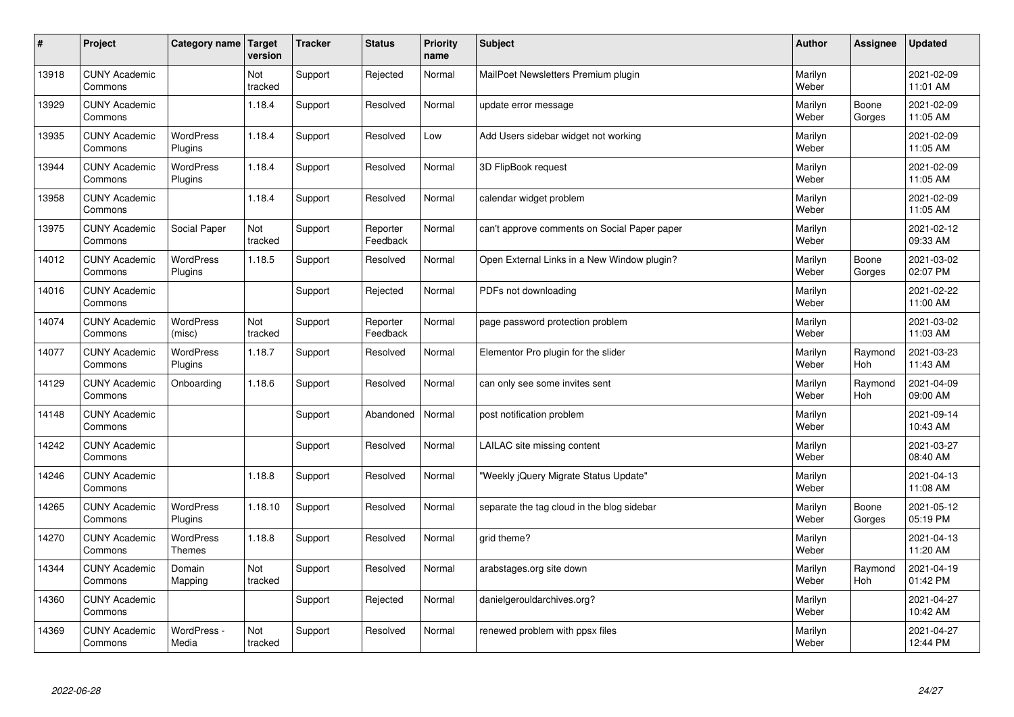| #     | Project                         | Category name   Target      | version        | <b>Tracker</b> | <b>Status</b>        | <b>Priority</b><br>name | <b>Subject</b>                               | <b>Author</b>    | Assignee              | <b>Updated</b>         |
|-------|---------------------------------|-----------------------------|----------------|----------------|----------------------|-------------------------|----------------------------------------------|------------------|-----------------------|------------------------|
| 13918 | <b>CUNY Academic</b><br>Commons |                             | Not<br>tracked | Support        | Rejected             | Normal                  | MailPoet Newsletters Premium plugin          | Marilyn<br>Weber |                       | 2021-02-09<br>11:01 AM |
| 13929 | <b>CUNY Academic</b><br>Commons |                             | 1.18.4         | Support        | Resolved             | Normal                  | update error message                         | Marilyn<br>Weber | Boone<br>Gorges       | 2021-02-09<br>11:05 AM |
| 13935 | <b>CUNY Academic</b><br>Commons | <b>WordPress</b><br>Plugins | 1.18.4         | Support        | Resolved             | Low                     | Add Users sidebar widget not working         | Marilyn<br>Weber |                       | 2021-02-09<br>11:05 AM |
| 13944 | <b>CUNY Academic</b><br>Commons | <b>WordPress</b><br>Plugins | 1.18.4         | Support        | Resolved             | Normal                  | 3D FlipBook request                          | Marilyn<br>Weber |                       | 2021-02-09<br>11:05 AM |
| 13958 | <b>CUNY Academic</b><br>Commons |                             | 1.18.4         | Support        | Resolved             | Normal                  | calendar widget problem                      | Marilyn<br>Weber |                       | 2021-02-09<br>11:05 AM |
| 13975 | <b>CUNY Academic</b><br>Commons | Social Paper                | Not<br>tracked | Support        | Reporter<br>Feedback | Normal                  | can't approve comments on Social Paper paper | Marilyn<br>Weber |                       | 2021-02-12<br>09:33 AM |
| 14012 | <b>CUNY Academic</b><br>Commons | <b>WordPress</b><br>Plugins | 1.18.5         | Support        | Resolved             | Normal                  | Open External Links in a New Window plugin?  | Marilyn<br>Weber | Boone<br>Gorges       | 2021-03-02<br>02:07 PM |
| 14016 | <b>CUNY Academic</b><br>Commons |                             |                | Support        | Rejected             | Normal                  | PDFs not downloading                         | Marilyn<br>Weber |                       | 2021-02-22<br>11:00 AM |
| 14074 | <b>CUNY Academic</b><br>Commons | <b>WordPress</b><br>(misc)  | Not<br>tracked | Support        | Reporter<br>Feedback | Normal                  | page password protection problem             | Marilyn<br>Weber |                       | 2021-03-02<br>11:03 AM |
| 14077 | <b>CUNY Academic</b><br>Commons | <b>WordPress</b><br>Plugins | 1.18.7         | Support        | Resolved             | Normal                  | Elementor Pro plugin for the slider          | Marilyn<br>Weber | Raymond<br><b>Hoh</b> | 2021-03-23<br>11:43 AM |
| 14129 | <b>CUNY Academic</b><br>Commons | Onboarding                  | 1.18.6         | Support        | Resolved             | Normal                  | can only see some invites sent               | Marilyn<br>Weber | Raymond<br><b>Hoh</b> | 2021-04-09<br>09:00 AM |
| 14148 | <b>CUNY Academic</b><br>Commons |                             |                | Support        | Abandoned            | Normal                  | post notification problem                    | Marilyn<br>Weber |                       | 2021-09-14<br>10:43 AM |
| 14242 | <b>CUNY Academic</b><br>Commons |                             |                | Support        | Resolved             | Normal                  | LAILAC site missing content                  | Marilyn<br>Weber |                       | 2021-03-27<br>08:40 AM |
| 14246 | <b>CUNY Academic</b><br>Commons |                             | 1.18.8         | Support        | Resolved             | Normal                  | 'Weekly jQuery Migrate Status Update"        | Marilyn<br>Weber |                       | 2021-04-13<br>11:08 AM |
| 14265 | <b>CUNY Academic</b><br>Commons | WordPress<br>Plugins        | 1.18.10        | Support        | Resolved             | Normal                  | separate the tag cloud in the blog sidebar   | Marilyn<br>Weber | Boone<br>Gorges       | 2021-05-12<br>05:19 PM |
| 14270 | <b>CUNY Academic</b><br>Commons | <b>WordPress</b><br>Themes  | 1.18.8         | Support        | Resolved             | Normal                  | grid theme?                                  | Marilyn<br>Weber |                       | 2021-04-13<br>11:20 AM |
| 14344 | <b>CUNY Academic</b><br>Commons | Domain<br>Mapping           | Not<br>tracked | Support        | Resolved             | Normal                  | arabstages.org site down                     | Marilyn<br>Weber | Raymond<br>Hoh        | 2021-04-19<br>01:42 PM |
| 14360 | <b>CUNY Academic</b><br>Commons |                             |                | Support        | Rejected             | Normal                  | danielgerouldarchives.org?                   | Marilyn<br>Weber |                       | 2021-04-27<br>10:42 AM |
| 14369 | <b>CUNY Academic</b><br>Commons | WordPress -<br>Media        | Not<br>tracked | Support        | Resolved             | Normal                  | renewed problem with ppsx files              | Marilyn<br>Weber |                       | 2021-04-27<br>12:44 PM |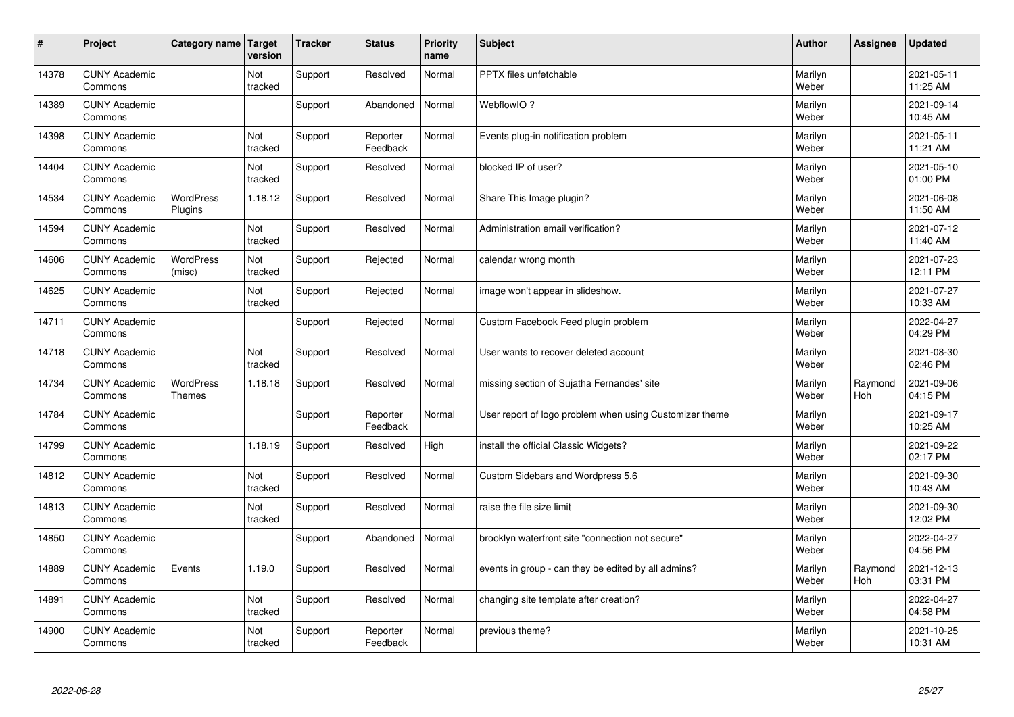| $\vert$ # | Project                         | Category name   Target            | version        | <b>Tracker</b> | <b>Status</b>        | <b>Priority</b><br>name | <b>Subject</b>                                          | <b>Author</b>    | <b>Assignee</b> | <b>Updated</b>         |
|-----------|---------------------------------|-----------------------------------|----------------|----------------|----------------------|-------------------------|---------------------------------------------------------|------------------|-----------------|------------------------|
| 14378     | <b>CUNY Academic</b><br>Commons |                                   | Not<br>tracked | Support        | Resolved             | Normal                  | <b>PPTX</b> files unfetchable                           | Marilyn<br>Weber |                 | 2021-05-11<br>11:25 AM |
| 14389     | <b>CUNY Academic</b><br>Commons |                                   |                | Support        | Abandoned            | Normal                  | WebflowIO?                                              | Marilyn<br>Weber |                 | 2021-09-14<br>10:45 AM |
| 14398     | <b>CUNY Academic</b><br>Commons |                                   | Not<br>tracked | Support        | Reporter<br>Feedback | Normal                  | Events plug-in notification problem                     | Marilyn<br>Weber |                 | 2021-05-11<br>11:21 AM |
| 14404     | <b>CUNY Academic</b><br>Commons |                                   | Not<br>tracked | Support        | Resolved             | Normal                  | blocked IP of user?                                     | Marilyn<br>Weber |                 | 2021-05-10<br>01:00 PM |
| 14534     | <b>CUNY Academic</b><br>Commons | <b>WordPress</b><br>Plugins       | 1.18.12        | Support        | Resolved             | Normal                  | Share This Image plugin?                                | Marilyn<br>Weber |                 | 2021-06-08<br>11:50 AM |
| 14594     | <b>CUNY Academic</b><br>Commons |                                   | Not<br>tracked | Support        | Resolved             | Normal                  | Administration email verification?                      | Marilyn<br>Weber |                 | 2021-07-12<br>11:40 AM |
| 14606     | <b>CUNY Academic</b><br>Commons | WordPress<br>(misc)               | Not<br>tracked | Support        | Rejected             | Normal                  | calendar wrong month                                    | Marilyn<br>Weber |                 | 2021-07-23<br>12:11 PM |
| 14625     | <b>CUNY Academic</b><br>Commons |                                   | Not<br>tracked | Support        | Rejected             | Normal                  | image won't appear in slideshow.                        | Marilyn<br>Weber |                 | 2021-07-27<br>10:33 AM |
| 14711     | <b>CUNY Academic</b><br>Commons |                                   |                | Support        | Rejected             | Normal                  | Custom Facebook Feed plugin problem                     | Marilyn<br>Weber |                 | 2022-04-27<br>04:29 PM |
| 14718     | <b>CUNY Academic</b><br>Commons |                                   | Not<br>tracked | Support        | Resolved             | Normal                  | User wants to recover deleted account                   | Marilyn<br>Weber |                 | 2021-08-30<br>02:46 PM |
| 14734     | <b>CUNY Academic</b><br>Commons | <b>WordPress</b><br><b>Themes</b> | 1.18.18        | Support        | Resolved             | Normal                  | missing section of Sujatha Fernandes' site              | Marilyn<br>Weber | Raymond<br>Hoh  | 2021-09-06<br>04:15 PM |
| 14784     | <b>CUNY Academic</b><br>Commons |                                   |                | Support        | Reporter<br>Feedback | Normal                  | User report of logo problem when using Customizer theme | Marilyn<br>Weber |                 | 2021-09-17<br>10:25 AM |
| 14799     | <b>CUNY Academic</b><br>Commons |                                   | 1.18.19        | Support        | Resolved             | High                    | install the official Classic Widgets?                   | Marilyn<br>Weber |                 | 2021-09-22<br>02:17 PM |
| 14812     | <b>CUNY Academic</b><br>Commons |                                   | Not<br>tracked | Support        | Resolved             | Normal                  | Custom Sidebars and Wordpress 5.6                       | Marilyn<br>Weber |                 | 2021-09-30<br>10:43 AM |
| 14813     | <b>CUNY Academic</b><br>Commons |                                   | Not<br>tracked | Support        | Resolved             | Normal                  | raise the file size limit                               | Marilyn<br>Weber |                 | 2021-09-30<br>12:02 PM |
| 14850     | <b>CUNY Academic</b><br>Commons |                                   |                | Support        | Abandoned            | Normal                  | brooklyn waterfront site "connection not secure"        | Marilyn<br>Weber |                 | 2022-04-27<br>04:56 PM |
| 14889     | <b>CUNY Academic</b><br>Commons | Events                            | 1.19.0         | Support        | Resolved             | Normal                  | events in group - can they be edited by all admins?     | Marilyn<br>Weber | Raymond<br>Hoh  | 2021-12-13<br>03:31 PM |
| 14891     | <b>CUNY Academic</b><br>Commons |                                   | Not<br>tracked | Support        | Resolved             | Normal                  | changing site template after creation?                  | Marilyn<br>Weber |                 | 2022-04-27<br>04:58 PM |
| 14900     | <b>CUNY Academic</b><br>Commons |                                   | Not<br>tracked | Support        | Reporter<br>Feedback | Normal                  | previous theme?                                         | Marilyn<br>Weber |                 | 2021-10-25<br>10:31 AM |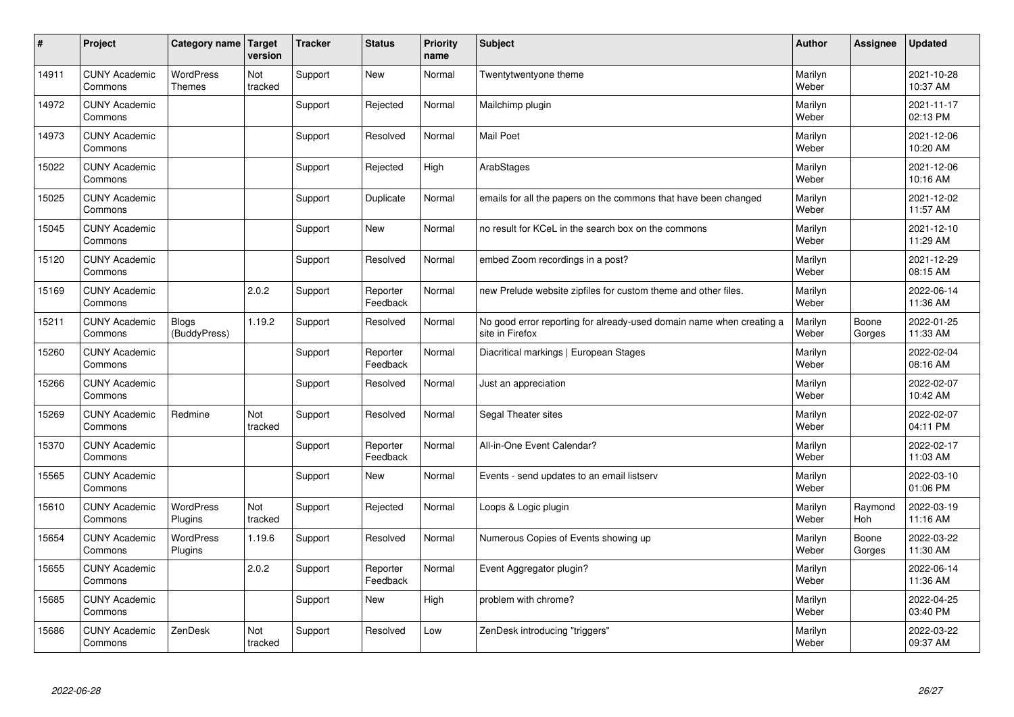| #     | Project                         | Category name   Target            | version        | <b>Tracker</b> | <b>Status</b>        | <b>Priority</b><br>name | <b>Subject</b>                                                                          | <b>Author</b>    | Assignee              | <b>Updated</b>         |
|-------|---------------------------------|-----------------------------------|----------------|----------------|----------------------|-------------------------|-----------------------------------------------------------------------------------------|------------------|-----------------------|------------------------|
| 14911 | <b>CUNY Academic</b><br>Commons | <b>WordPress</b><br><b>Themes</b> | Not<br>tracked | Support        | <b>New</b>           | Normal                  | Twentytwentyone theme                                                                   | Marilyn<br>Weber |                       | 2021-10-28<br>10:37 AM |
| 14972 | <b>CUNY Academic</b><br>Commons |                                   |                | Support        | Rejected             | Normal                  | Mailchimp plugin                                                                        | Marilyn<br>Weber |                       | 2021-11-17<br>02:13 PM |
| 14973 | <b>CUNY Academic</b><br>Commons |                                   |                | Support        | Resolved             | Normal                  | <b>Mail Poet</b>                                                                        | Marilyn<br>Weber |                       | 2021-12-06<br>10:20 AM |
| 15022 | <b>CUNY Academic</b><br>Commons |                                   |                | Support        | Rejected             | High                    | ArabStages                                                                              | Marilyn<br>Weber |                       | 2021-12-06<br>10:16 AM |
| 15025 | <b>CUNY Academic</b><br>Commons |                                   |                | Support        | Duplicate            | Normal                  | emails for all the papers on the commons that have been changed                         | Marilyn<br>Weber |                       | 2021-12-02<br>11:57 AM |
| 15045 | <b>CUNY Academic</b><br>Commons |                                   |                | Support        | <b>New</b>           | Normal                  | no result for KCeL in the search box on the commons                                     | Marilyn<br>Weber |                       | 2021-12-10<br>11:29 AM |
| 15120 | <b>CUNY Academic</b><br>Commons |                                   |                | Support        | Resolved             | Normal                  | embed Zoom recordings in a post?                                                        | Marilyn<br>Weber |                       | 2021-12-29<br>08:15 AM |
| 15169 | <b>CUNY Academic</b><br>Commons |                                   | 2.0.2          | Support        | Reporter<br>Feedback | Normal                  | new Prelude website zipfiles for custom theme and other files.                          | Marilyn<br>Weber |                       | 2022-06-14<br>11:36 AM |
| 15211 | <b>CUNY Academic</b><br>Commons | <b>Blogs</b><br>(BuddyPress)      | 1.19.2         | Support        | Resolved             | Normal                  | No good error reporting for already-used domain name when creating a<br>site in Firefox | Marilyn<br>Weber | Boone<br>Gorges       | 2022-01-25<br>11:33 AM |
| 15260 | <b>CUNY Academic</b><br>Commons |                                   |                | Support        | Reporter<br>Feedback | Normal                  | Diacritical markings   European Stages                                                  | Marilyn<br>Weber |                       | 2022-02-04<br>08:16 AM |
| 15266 | <b>CUNY Academic</b><br>Commons |                                   |                | Support        | Resolved             | Normal                  | Just an appreciation                                                                    | Marilyn<br>Weber |                       | 2022-02-07<br>10:42 AM |
| 15269 | <b>CUNY Academic</b><br>Commons | Redmine                           | Not<br>tracked | Support        | Resolved             | Normal                  | Segal Theater sites                                                                     | Marilyn<br>Weber |                       | 2022-02-07<br>04:11 PM |
| 15370 | <b>CUNY Academic</b><br>Commons |                                   |                | Support        | Reporter<br>Feedback | Normal                  | All-in-One Event Calendar?                                                              | Marilyn<br>Weber |                       | 2022-02-17<br>11:03 AM |
| 15565 | <b>CUNY Academic</b><br>Commons |                                   |                | Support        | <b>New</b>           | Normal                  | Events - send updates to an email listserv                                              | Marilyn<br>Weber |                       | 2022-03-10<br>01:06 PM |
| 15610 | <b>CUNY Academic</b><br>Commons | WordPress<br>Plugins              | Not<br>tracked | Support        | Rejected             | Normal                  | Loops & Logic plugin                                                                    | Marilyn<br>Weber | Raymond<br><b>Hoh</b> | 2022-03-19<br>11:16 AM |
| 15654 | <b>CUNY Academic</b><br>Commons | <b>WordPress</b><br>Plugins       | 1.19.6         | Support        | Resolved             | Normal                  | Numerous Copies of Events showing up                                                    | Marilyn<br>Weber | Boone<br>Gorges       | 2022-03-22<br>11:30 AM |
| 15655 | <b>CUNY Academic</b><br>Commons |                                   | 2.0.2          | Support        | Reporter<br>Feedback | Normal                  | Event Aggregator plugin?                                                                | Marilyn<br>Weber |                       | 2022-06-14<br>11:36 AM |
| 15685 | <b>CUNY Academic</b><br>Commons |                                   |                | Support        | <b>New</b>           | High                    | problem with chrome?                                                                    | Marilyn<br>Weber |                       | 2022-04-25<br>03:40 PM |
| 15686 | <b>CUNY Academic</b><br>Commons | ZenDesk                           | Not<br>tracked | Support        | Resolved             | Low                     | ZenDesk introducing "triggers"                                                          | Marilyn<br>Weber |                       | 2022-03-22<br>09:37 AM |